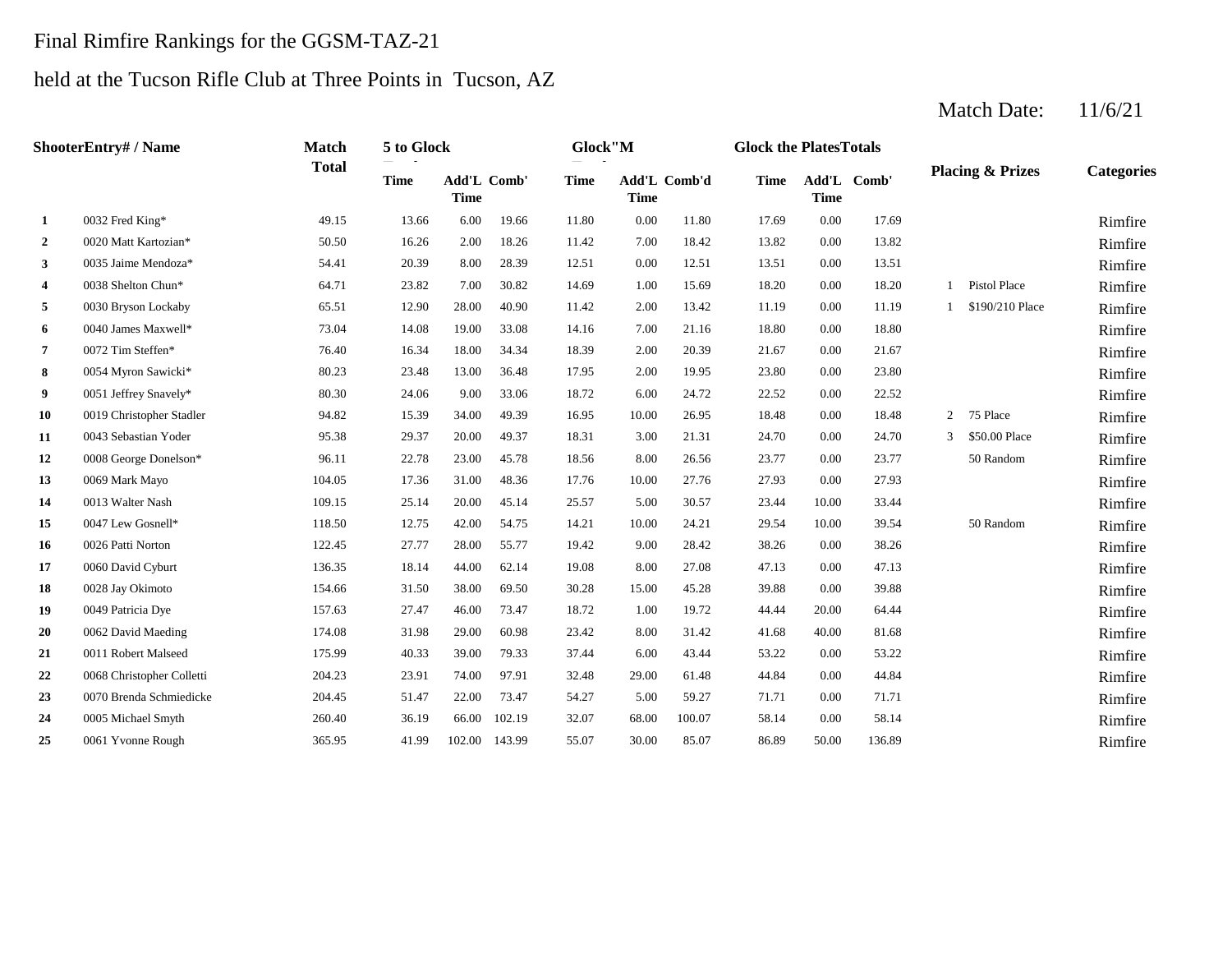#### Final Rimfire Rankings for the GGSM-TAZ-21

#### held at the Tucson Rifle Club at Three Points in Tucson, AZ

#### **2** 0020 Matt Kartozian\* **2** 50.50 16.26 2.00 18.26 11.42 7.00 18.42 13.82 0.00 13.82 **Rimfire 3** 0.0035 Jaime Mendoza\* **6.41** 54.41 20.39 8.00 28.39 12.51 0.00 12.51 13.51 0.00 13.51 13.51 **Rimfire 4** 0038 Shelton Chun\* 64.71 23.82 7.00 30.82 14.69 1.00 15.69 18.20 0.00 18.20 1 Pistol Place Rimfire **5** 0030 Bryson Lockaby **65.51 5** 28.00 40.90 **11.42** 2.00 13.42 **11.19** 0.00 **11.19** 1 \$190/210 Place **Rimfire 6** 0040 James Maxwell\* **6** 73.04 14.08 19.00 33.08 14.16 7.00 21.16 18.80 0.00 18.80 **Rimfire 7** 2.00 21.67 **12.11** 2.00 20.39 2.167 **2.1.67** 2.1.67 **Rimfire** 2.00 20.39 2.1.67 **Rimfire 8** 23.80 **8** 23.80 **R**imfire 23.48 23.48 13.00 36.48 17.95 2.00 19.95 23.80 0.00 23.80 **Rimfire 9** 6.00 1 Jeffrey Snavely\* 80.30 24.06 9.00 33.06 18.72 6.00 24.72 22.52 0.00 22.52 **Rimfire 10** 0019 Christopher Stadler **10.00 18.48** 15.39 34.00 49.39 16.95 10.00 26.95 18.48 0.00 18.48 2 75 Place **Rimfire 11** 0043 Sebastian Yoder **12 11 12.00 12.31 12.31 13.00 21.31 14.70 12.70 13 3.00 24.70 3 550.00 Place Rimfire** 12 0008 George Donelson\* 96.11 22.78 23.00 45.78 18.56 8.00 26.56 23.77 0.00 23.77 50 Random Rimfire **13** 0069 Mark Mayo **104.05** 104.05 17.36 31.00 48.36 17.76 10.00 27.76 27.93 0.00 27.93 11.00 27.93 **14** 0013 Walter Nash **109.15** 25.14 20.00 45.14 25.57 5.00 30.57 23.44 10.00 33.44 **Rimfire 15** 0047 Lew Gosnell\* **118.50** 12.75 42.00 54.75 14.21 10.00 24.21 29.54 10.00 39.54 50 Random Rimfire **16** 9.00 38.26 Rimfire 17 0060 David Cyburt **18.00 12.35** 18.14 44.00 62.14 19.08 8.00 27.08 47.13 0.00 47.13 1 136.35 **Rimfire 18** 15.00 39.88 Rimfire **19** 0049 Patricia Dye **157.63** 27.47 46.00 73.47 18.72 1.00 19.72 44.44 20.00 64.44 **Rimfire 20** 0062 David Maeding **20** 174.08 31.98 29.00 60.98 23.42 8.00 31.42 41.68 40.00 81.68 **Rimfire 21** 0011 Robert Malseed **175.99** 40.33 39.00 79.33 37.44 6.00 43.44 53.22 0.00 53.22 **Rimfire** 22 0068 Christopher Colletti 204.23 23.91 74.00 97.91 32.48 29.00 61.48 44.84 0.00 44.84 **Rimfire** 23 0070 Brenda Schmiedicke 204.45 51.47 22.00 73.47 54.27 5.00 59.27 71.71 0.00 71.71 **Rimfire** 24 0005 Michael Smyth 260.40 260.40 36.19 66.00 102.19 32.07 68.00 100.07 58.14 0.00 58.14 2005 Michael Smyth 260.40 **25** 55.07 30.00 85.07 86.89 50.00 136.89 Rimfire 32.07 68.00 100.07 58.14 0.00 58.14 0061 Yvonne Rough 365.95 41.99 102.00 143.99 54.27 59.27 0.00 71.71 0005 Michael Smyth 260.40 36.19 66.00 102.19 32.48 61.48 0.00 44.84 0070 Brenda Schmiedicke 204.45 51.47 22.00 73.47 37.44 6.00 43.44 53.22 0.00 53.22 0068 Christopher Colletti 204.23 23.91 74.00 97.91 23.42 31.42 40.00 81.68 0011 Robert Malseed 175.99 40.33 39.00 79.33 18.72 1.00 19.72 44.44 20.00 64.44 0062 David Maeding 174.08 31.98 29.00 60.98 30.28 45.28 0.00 39.88 0049 Patricia Dye 157.63 27.47 46.00 73.47 19.08 8.00 27.08 47.13 0.00 47.13 0028 Jay Okimoto 154.66 31.50 38.00 69.50 19.42 9.00 28.42 38.26 0.00 38.26 0060 David Cyburt 136.35 18.14 44.00 62.14 24.21 10.00 39.54 50 Random 0026 Patti Norton 122.45 27.77 28.00 55.77 30.57 10.00 33.44 0047 Lew Gosnell\* 118.50 12.75 42.00 54.75 14.21 27.76 0.00 27.93 0013 Walter Nash 109.15 25.14 20.00 45.14 25.57 0.00 23.77 50 Random 0069 Mark Mayo 104.05 17.36 31.00 48.36 17.76 3 \$50.00 Place 0008 George Donelson\* 96.11 22.78 23.00 45.78 18.56 8.00 26.56 0043 Sebastian Yoder **95.38** 29.37 20.00 49.37 18.31 3.00 21.31 24.70 0.00 24.70 16.95 10.00 26.95 18.48 0.00 18.48 2 75 Place 18.72 6.00 24.72 22.52 0.00 22.52 0019 Christopher Stadler 94.82 15.39 34.00 49.39 17.95 2.00 19.95 23.80 0.00 23.80 0051 Jeffrey Snavely\* 80.30 24.06 9.00 33.06 18.39 2.00 20.39 21.67 0.00 21.67 0054 Myron Sawicki\* 80.23 23.48 13.00 36.48 14.16 7.00 21.16 18.80 0.00 18.80 0072 Tim Steffen\* 76.40 16.34 18.00 34.34 0.00 11.19 1 \$190/210 Place 0040 James Maxwell\* 73.04 14.08 19.00 33.08 1 Pistol Place 0030 Bryson Lockaby 65.51 12.90 28.00 40.90 11.42 2.00 13.42 0038 Shelton Chun\* 64.71 23.82 7.00 30.82 14.69 1.00 15.69 18.20 0.00 18.20 0035 Jaime Mendoza\* 64.41 20.39 8.00 28.39 12.51 0.00 12.51 13.51 0.00 13.51 Rimfire 0020 Matt Kartozian\* 60.50 16.26 2.00 18.26 11.42 7.00 18.42 13.82 0.00 13.82 **1** 0032 Fred King\* 49.15 13.66 6.00 19.66 11.80 0.00 11.80 17.69 0.00 17.69 **Categories Time Add'L Time** Add'L Comb' **Time Add'L Comb'd Time Add'L Time Time** Add'L Comb' **ShooterEntry# / Name Match Total 5 to Glock Totals Glock"M Totals Glock the PlatesTotals Placing & Prizes**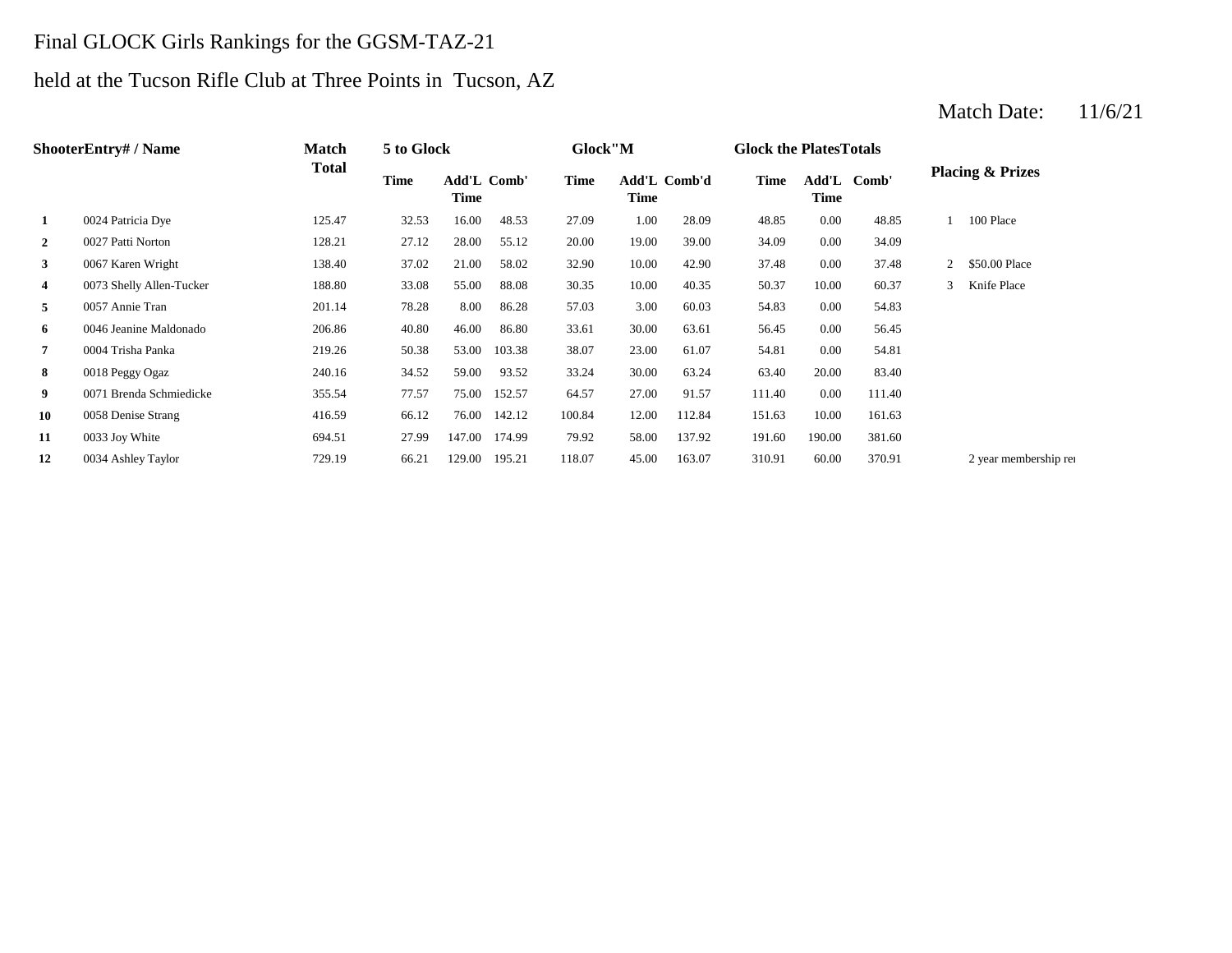### Final GLOCK Girls Rankings for the GGSM-TAZ-21

## held at the Tucson Rifle Club at Three Points in Tucson, AZ

#### **2** 19.00 19.00 34.09 128.21 27.12 28.00 27.12 20.00 19.00 39.00 34.09 **3** 10.00 **12.90 37.48** 138.40 **37.02** 21.00 **58.02** 32.90 10.00 42.90 37.48 **4** 0073 Shelly Allen-Tucker 188.80 33.08 55.00 88.08 30.35 10.00 40.35 50.37 **5** 3.00 54.83 0057 Annie Tran 201.14 78.28 8.00 86.28 **6** 30.00 56.45 0046 Jeanine Maldonado 206.86 40.80 46.00 86.80 33.61 **7** 23.00 **61.07** 23.00 **54.81** 219.26 50.38 53.00 103.38 38.07 23.00 61.07 54.81 **8** 30.00 **8** 34.52 59.00 **33.52 33.24 30.00 63.24 63.40** 20.00 **9** 0071 Brenda Schmiedicke 355.54 77.57 75.00 152.57 64.57 27.00 91.57 111.40 0.00 111.40 **10** 0058 Denise Strang **10.59** 66.12 76.00 142.12 100.84 12.00 112.84 151.63 **11** 0033 Joy White 694.51 27.99 147.00 174.99 79.92 58.00 137.92 191.60 12 0034 Ashley Taylor **129.19** 3729.19 3729.19 3729.10 370.91 370.91 370.91 370.91 370.91 370.91 370.91 372.91 190.00 381.60 0034 Ashley Taylor 112.84 151.63 10.00 161.63 83.40 0.00 54.81 63.61 0.00 56.45 57.03 60.03 0.00 54.83 40.35 50.37 10.00 60.37 3 Knife Place 0.00 37.48 2 \$50.00 Place 39.00 0.00 34.09 28.09 48.85 0.00 48.85 1 100 Place **Add'L Comb' Time 1** 0024 Patricia Dye 125.47 32.53 16.00 48.53 27.09 1.00 **Add'L Comb' Time Time Add'L Comb'd Time Time ShooterEntry# / Name Match Total 5 to Glock Time Glock"M Glock the PlatesTotals Placing & Prizes Time**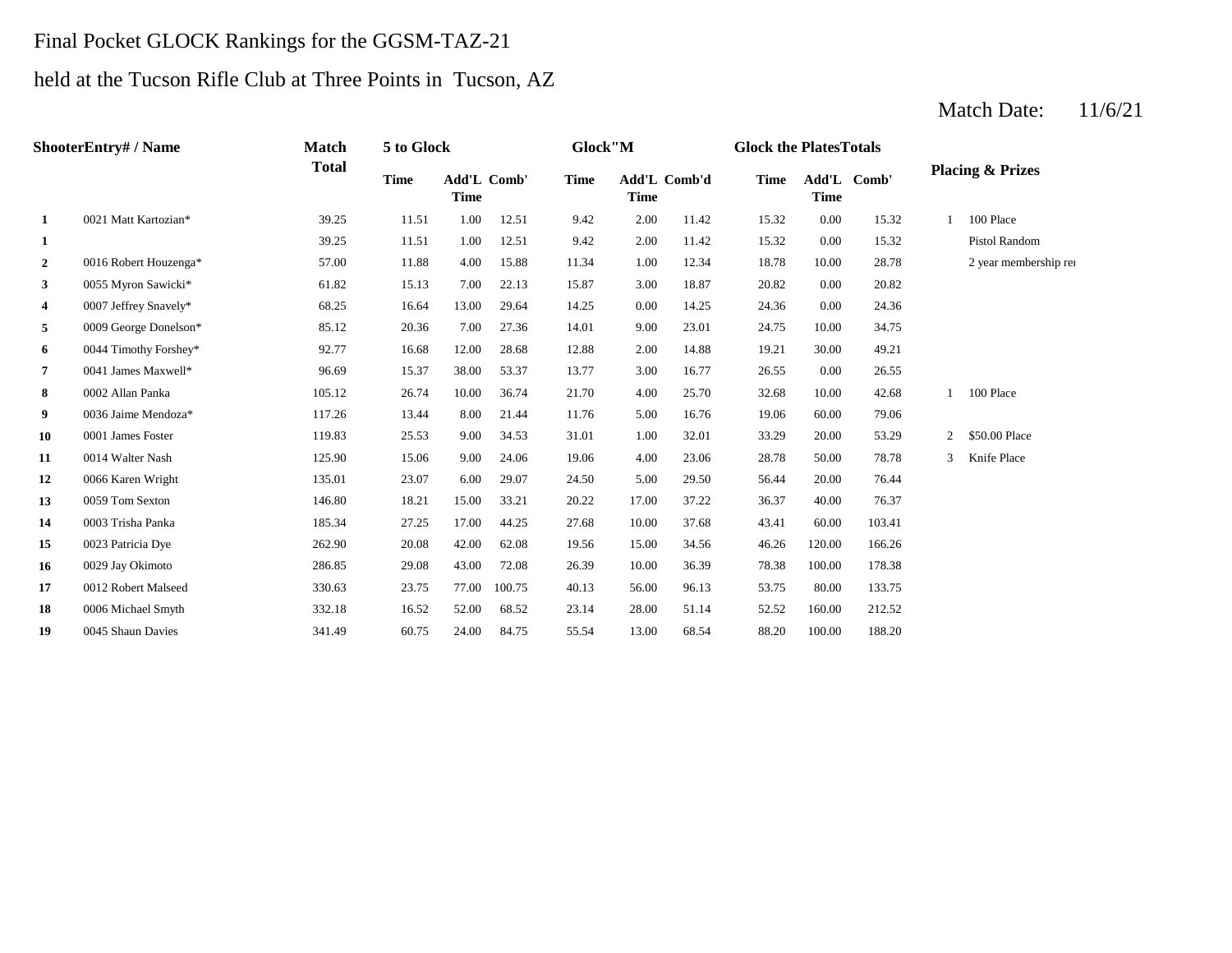#### Final Pocket GLOCK Rankings for the GGSM-TAZ-21

## held at the Tucson Rifle Club at Three Points in Tucson, AZ

#### **1** 2.00 11.42 **15.32 10.00 12.51 1.00 12.51 9.42 2.00 11.42 15.32 2** 0016 Robert Houzenga\* 57.00 11.88 4.00 15.88 11.34 1.00 12.34 18.78 10.00 **3** 0055 Myron Sawicki\* 61.82 15.13 7.00 22.13 15.87 3.00 18.87 20.82 0.00 **4** 0007 Jeffrey Snavely\* 68.25 16.64 13.00 29.64 14.25 0.00 14.25 24.36 0.00 24.36 **5** 9.009 George Donelson\* 85.12 20.36 7.00 27.36 14.01 9.00 23.01 24.75 **6** 0044 Timothy Forshey\* 92.77 16.68 12.00 28.68 12.88 2.00 14.88 19.21 **7** 0041 James Maxwell\* **96.69** 15.37 38.00 53.37 13.77 3.00 16.77 26.55 0.00 **8** 4.00 32.68 **9** 0036 Jaime Mendoza\* 117.26 117.26 13.44 8.00 21.44 11.76 5.00 16.76 19.06 60.00 **10 10 10001 James Foster 119.83 100 11.00 100 11.00 11.00 11.00 12.01 11.00 33.29 11** 4.00 28.78 0014 Walter Nash 125.90 15.06 9.00 24.06 19.06 23.06 50.00 **12** 5.00 56.44 0066 Karen Wright 135.01 23.07 6.00 29.07 24.50 29.50 **13** 17.00 37.22 36.37 37.22 36.37 146.80 18.21 15.00 33.21 20.22 17.00 37.22 36.37 **14** 0003 Trisha Panka **185.34** 27.25 17.00 44.25 27.68 10.00 37.68 43.41 **15** 15.00 46.26 0023 Patricia Dye 262.90 20.08 42.00 62.08 19.56 **16** 10.00 78.38 0029 Jay Okimoto 286.85 29.08 43.00 72.08 26.39 36.39 **17** 0012 Robert Malseed **330.63** 23.75 77.00 100.75 40.13 56.00 96.13 53.75 80.00 **18** 0006 Michael Smyth 332.18 16.52 52.00 68.52 23.14 28.00 51.14 52.52 160.00 212.52 **19** 0045 Shaun Davies 341.49 60.75 24.00 84.75 55.54 13.00 68.54 88.20 100.00 188.20 133.75 100.00 178.38 34.56 120.00 166.26 76.37 0003 Trisha Panka 185.34 27.25 17.00 44.25 27.68 37.68 60.00 103.41 20.00 76.44 0059 Tom Sexton 146.80 18.21 15.00 33.21 20.22 37.22 40.00 78.78 3 Knife Place 2 \$50.00 Place 79.06 0001 James Foster 119.83 25.53 9.00 34.53 31.01 1.00 32.01 33.29 20.00 53.29 1 100 Place 26.55 0002 Allan Panka 105.12 26.74 10.00 36.74 21.70 25.70 10.00 42.68 30.00 49.21 23.01 24.75 10.00 34.75 20.82 28.78 2 year membership renewal 28.78 15.32 Pistol Random 15.32 1 100 Place 39.25 11.51 1.00 12.51 9.42 2.00 11.42 15.32 0.00 12.51 9.42 2.00 11.42 15.32 0.00 **Add'L Comb'd Time Add'L Time Time** Add'L Comb' **1** 0021 Matt Kartozian\* 39.25 11.51 1.00 **ShooterEntry# / Name Match Total 5 to Glock Time Glock"M Glock the PlatesTotals Placing & Prizes Time Add'L Time** Add'L Comb' **Time**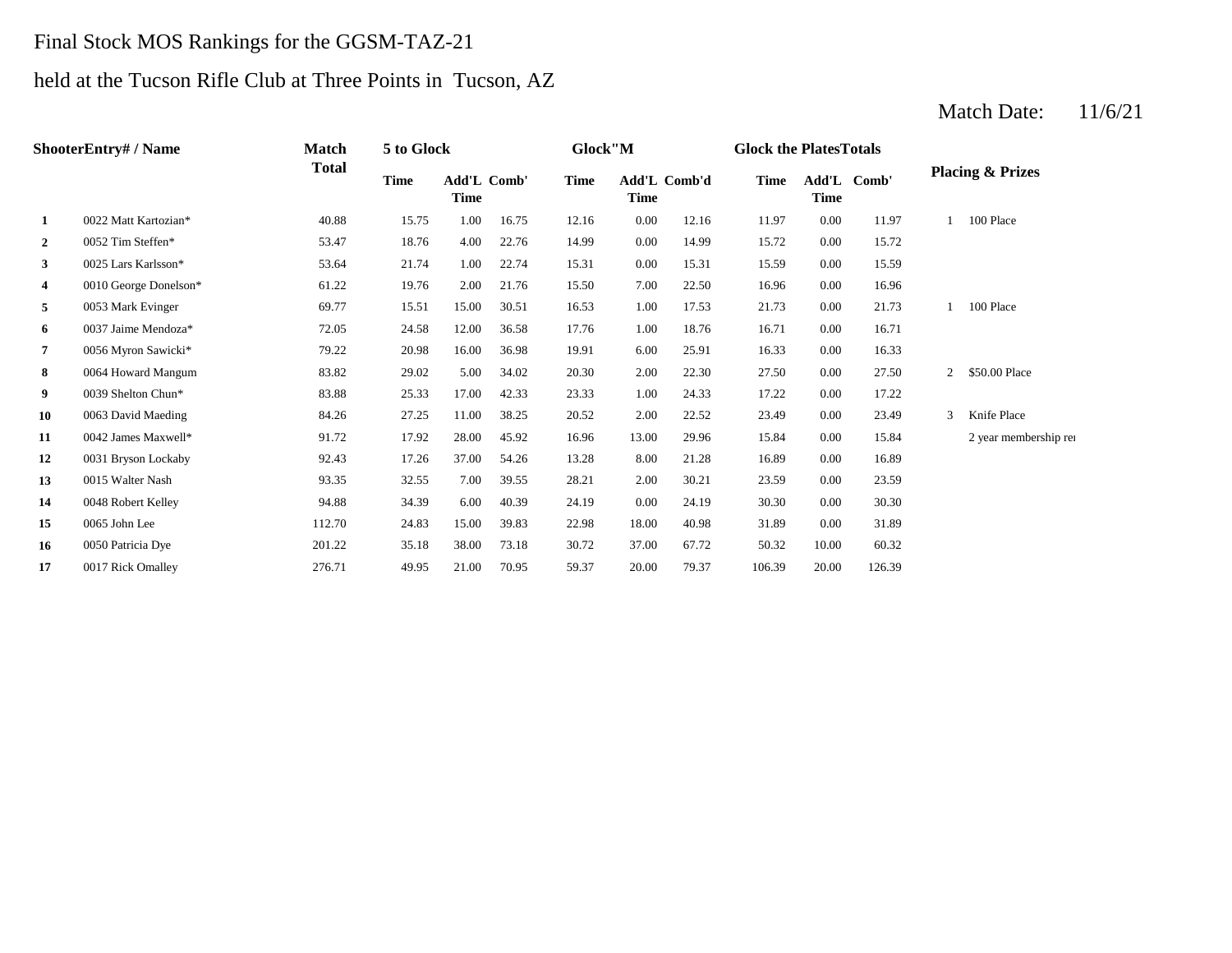### Final Stock MOS Rankings for the GGSM-TAZ-21

# held at the Tucson Rifle Club at Three Points in Tucson, AZ

#### **2** 0.052 Tim Steffen\* **63.47** 18.76 4.00 22.76 14.99 0.00 14.99 15.72 **3** 0.025 Lars Karlsson\* 53.64 21.74 1.00 22.74 15.31 0.00 15.31 15.59 0.00 **4** 0010 George Donelson\* 61.22 19.76 2.00 21.76 15.50 7.00 22.50 16.96 0.00 16.96 **5** 1.00 **17.53** 1.73 **1.73** 1.73 **1.73** 1.89 **1.73** 1.73 **6** 0037 Jaime Mendoza\* **12.05** 24.58 12.00 36.58 17.76 1.00 18.76 16.71 **7** 6.00 16.33 0056 Myron Sawicki\* 79.22 20.98 16.00 36.98 19.91 **8** 2.00 27.50 0064 Howard Mangum 83.82 29.02 5.00 34.02 20.30 22.30 **9** 1.00 17.22 **9** 25.33 17.00 42.33 23.33 1.00 24.33 17.22 **10** 22.52 **23.49 10** 22.52 **23.49 27.25 11.00 28.25 20.52 2.00 22.52 23.49 11** 13.00 15.84 0042 James Maxwell\* 91.72 17.92 28.00 45.92 16.96 **12** 8.00 16.89 0031 Bryson Lockaby 92.43 17.26 37.00 54.26 13.28 **13 13 2015** Walter Nash **93.35 12.55 1.00 39.55 28.21 2.00 30.21 23.59 14** 0048 Robert Kelley **14** 94.88 34.39 6.00 40.39 24.19 0.00 24.19 30.30 0.00 **15** 0065 John Lee 112.70 24.83 15.00 39.83 22.98 18.00 40.98 31.89 **16** 0050 Patricia Dye 201.22 35.18 38.00 73.18 30.72 37.00 67.72 50.32 **17** 0017 Rick Omalley 276.71 49.95 21.00 70.95 59.37 20.00 79.37 106.39 20.00 126.39 67.72 10.00 60.32 30.30 0065 John Lee 2010 112.70 24.83 15.00 39.83 22.98 18.00 40.98 31.89 0.00 31.89 0.00 23.59 21.28 0.00 16.89 29.96 15.84 0.00 15.84 2 year membership ren 0.00 23.49 3 Knife Place 24.33 0.00 17.22 0.00 27.50 2 \$50.00 Place 25.91 0.00 16.33 17.76 1.00 18.76 16.71 0.00 16.71 17.53 21.73 0.00 21.73 1 100 Place 15.59 0.00 15.72 11.97 1 100 Place 16.75 12.16 0.00 12.16 11.97 0.00 **Add'L Comb'd Time Add'L Time Time** Add'L Comb' **1** 0022 Matt Kartozian\* 40.88 15.75 1.00 **ShooterEntry# / Name Match Total 5 to Glock Time Glock"M Glock the PlatesTotals Placing & Prizes Time Add'L Time** Add'L Comb' **Time**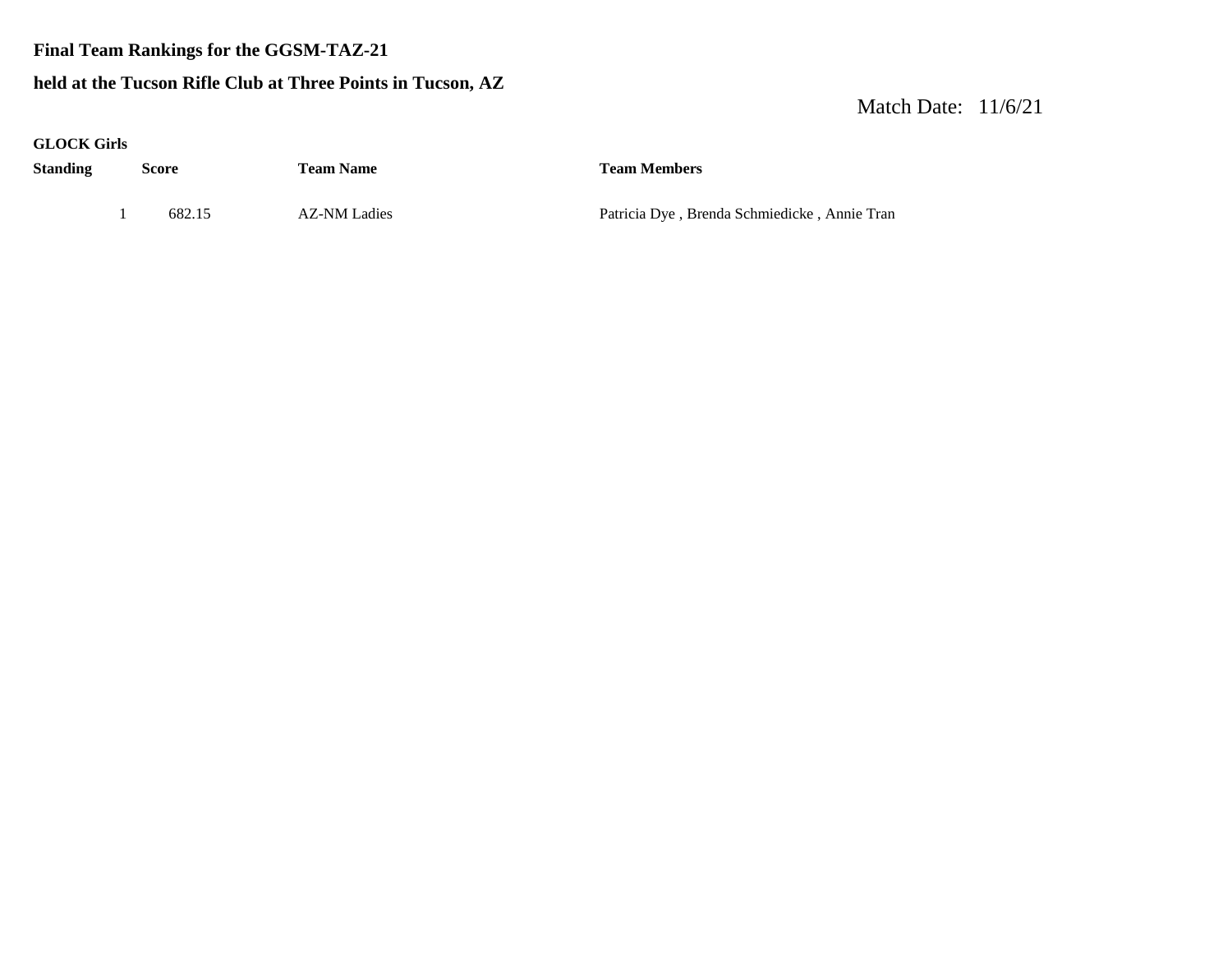#### **Final Team Rankings for the GGSM-TAZ-21**

#### **held at the Tucson Rifle Club at Three Points in Tucson, AZ**

| <b>GLOCK Girls</b> |              |        |                     |                                              |
|--------------------|--------------|--------|---------------------|----------------------------------------------|
| <b>Standing</b>    | <b>Score</b> |        | <b>Team Name</b>    | <b>Team Members</b>                          |
|                    |              |        |                     |                                              |
|                    |              | 682.15 | <b>AZ-NM Ladies</b> | Patricia Dye, Brenda Schmiedicke, Annie Tran |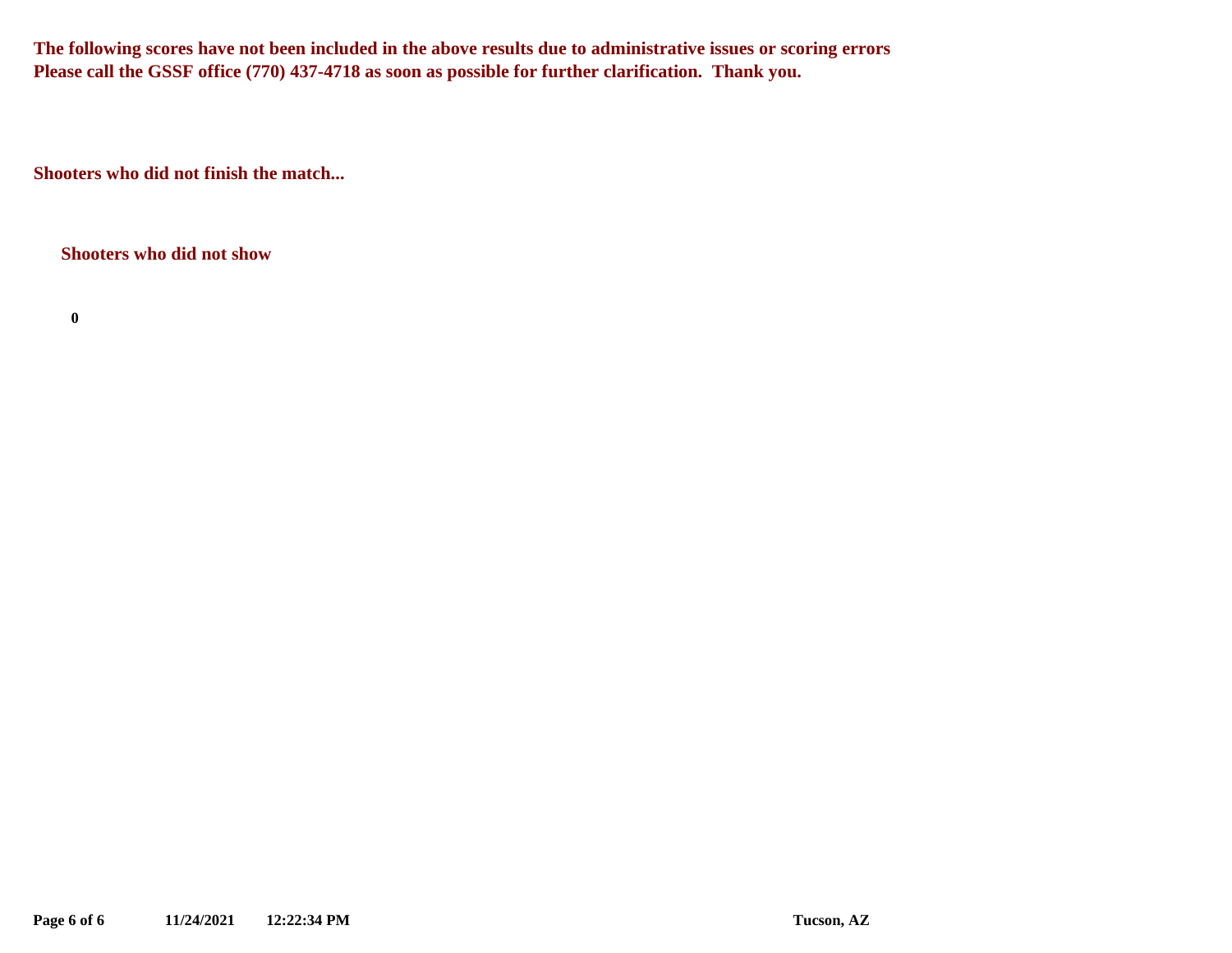**The following scores have not been included in the above results due to administrative issues or scoring errors Please call the GSSF office (770) 437-4718 as soon as possible for further clarification. Thank you.**

**Shooters who did not finish the match...**

**Shooters who did not show**

**0**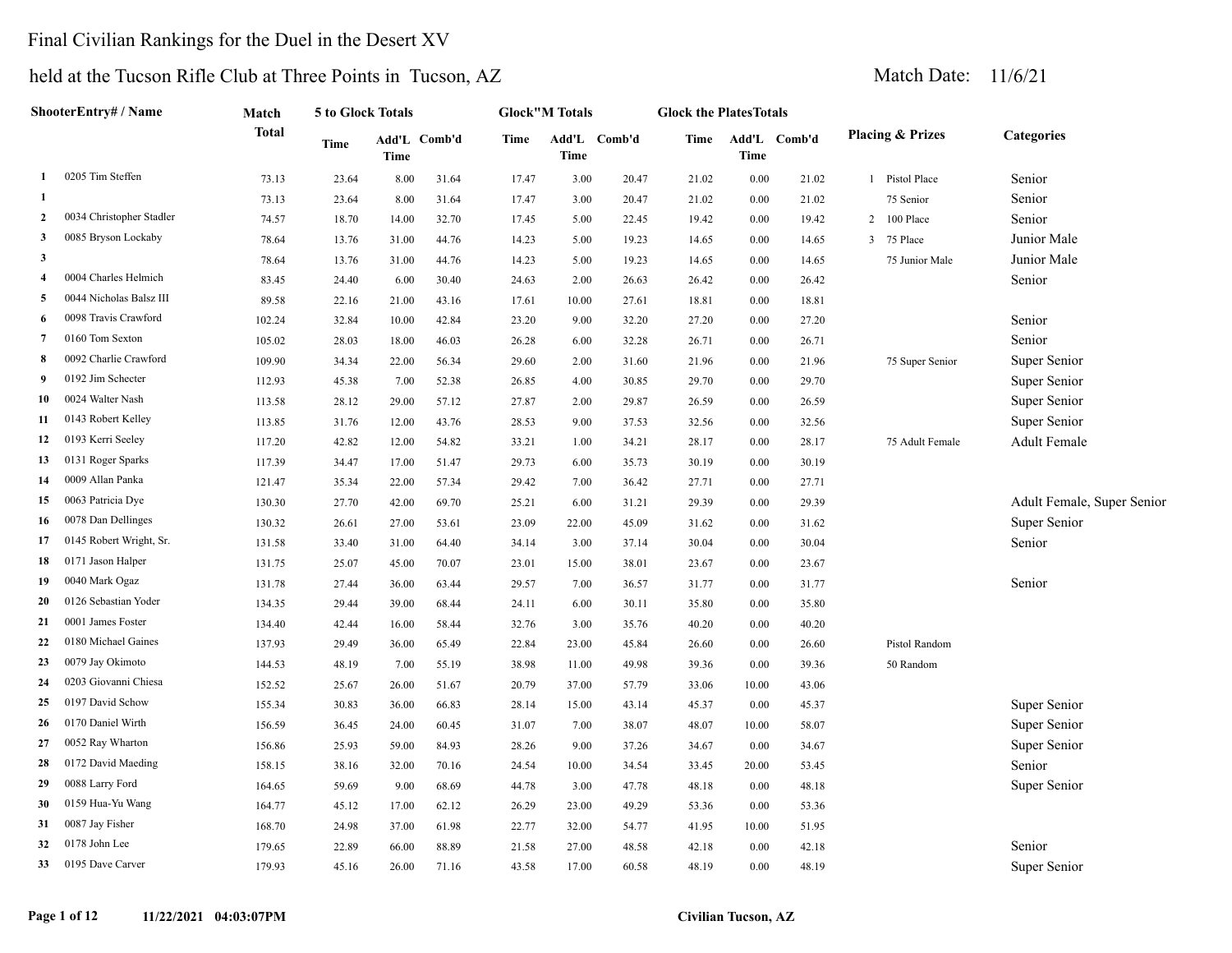### Final Civilian Rankings for the Duel in the Desert XV

# held at the Tucson Rifle Club at Three Points in Tucson, AZ Match Date: 11/6/21

| ShooterEntry# / Name |                          | <b>Match</b> | 5 to Glock Totals |       |              |       | <b>Glock"M Totals</b> |              | <b>Glock the PlatesTotals</b> |       |              |                              |                            |
|----------------------|--------------------------|--------------|-------------------|-------|--------------|-------|-----------------------|--------------|-------------------------------|-------|--------------|------------------------------|----------------------------|
|                      |                          | <b>Total</b> | <b>Time</b>       | Time  | Add'L Comb'd | Time  | <b>Time</b>           | Add'L Comb'd | Time                          | Time  | Add'L Comb'd | <b>Placing &amp; Prizes</b>  | <b>Categories</b>          |
| 1                    | 0205 Tim Steffen         | 73.13        | 23.64             | 8.00  | 31.64        | 17.47 | 3.00                  | 20.47        | 21.02                         | 0.00  | 21.02        | Pistol Place<br>$\mathbf{1}$ | Senior                     |
| 1                    |                          | 73.13        | 23.64             | 8.00  | 31.64        | 17.47 | 3.00                  | 20.47        | 21.02                         | 0.00  | 21.02        | 75 Senior                    | Senior                     |
| $\mathbf{2}$         | 0034 Christopher Stadler | 74.57        | 18.70             | 14.00 | 32.70        | 17.45 | 5.00                  | 22.45        | 19.42                         | 0.00  | 19.42        | $\overline{2}$<br>100 Place  | Senior                     |
| 3                    | 0085 Bryson Lockaby      | 78.64        | 13.76             | 31.00 | 44.76        | 14.23 | 5.00                  | 19.23        | 14.65                         | 0.00  | 14.65        | 75 Place<br>3                | Junior Male                |
| 3                    |                          | 78.64        | 13.76             | 31.00 | 44.76        | 14.23 | 5.00                  | 19.23        | 14.65                         | 0.00  | 14.65        | 75 Junior Male               | Junior Male                |
| $\overline{4}$       | 0004 Charles Helmich     | 83.45        | 24.40             | 6.00  | 30.40        | 24.63 | 2.00                  | 26.63        | 26.42                         | 0.00  | 26.42        |                              | Senior                     |
| 5                    | 0044 Nicholas Balsz III  | 89.58        | 22.16             | 21.00 | 43.16        | 17.61 | 10.00                 | 27.61        | 18.81                         | 0.00  | 18.81        |                              |                            |
| 6                    | 0098 Travis Crawford     | 102.24       | 32.84             | 10.00 | 42.84        | 23.20 | 9.00                  | 32.20        | 27.20                         | 0.00  | 27.20        |                              | Senior                     |
| $\overline{7}$       | 0160 Tom Sexton          | 105.02       | 28.03             | 18.00 | 46.03        | 26.28 | 6.00                  | 32.28        | 26.71                         | 0.00  | 26.71        |                              | Senior                     |
| 8                    | 0092 Charlie Crawford    | 109.90       | 34.34             | 22.00 | 56.34        | 29.60 | 2.00                  | 31.60        | 21.96                         | 0.00  | 21.96        | 75 Super Senior              | Super Senior               |
| 9                    | 0192 Jim Schecter        | 112.93       | 45.38             | 7.00  | 52.38        | 26.85 | 4.00                  | 30.85        | 29.70                         | 0.00  | 29.70        |                              | Super Senior               |
| 10                   | 0024 Walter Nash         | 113.58       | 28.12             | 29.00 | 57.12        | 27.87 | 2.00                  | 29.87        | 26.59                         | 0.00  | 26.59        |                              | Super Senior               |
| 11                   | 0143 Robert Kelley       | 113.85       | 31.76             | 12.00 | 43.76        | 28.53 | 9.00                  | 37.53        | 32.56                         | 0.00  | 32.56        |                              | Super Senior               |
| 12                   | 0193 Kerri Seeley        | 117.20       | 42.82             | 12.00 | 54.82        | 33.21 | 1.00                  | 34.21        | 28.17                         | 0.00  | 28.17        | 75 Adult Female              | <b>Adult Female</b>        |
| 13                   | 0131 Roger Sparks        | 117.39       | 34.47             | 17.00 | 51.47        | 29.73 | 6.00                  | 35.73        | 30.19                         | 0.00  | 30.19        |                              |                            |
| 14                   | 0009 Allan Panka         | 121.47       | 35.34             | 22.00 | 57.34        | 29.42 | 7.00                  | 36.42        | 27.71                         | 0.00  | 27.71        |                              |                            |
| 15                   | 0063 Patricia Dye        | 130.30       | 27.70             | 42.00 | 69.70        | 25.21 | 6.00                  | 31.21        | 29.39                         | 0.00  | 29.39        |                              | Adult Female, Super Senior |
| 16                   | 0078 Dan Dellinges       | 130.32       | 26.61             | 27.00 | 53.61        | 23.09 | 22.00                 | 45.09        | 31.62                         | 0.00  | 31.62        |                              | Super Senior               |
| 17                   | 0145 Robert Wright, Sr.  | 131.58       | 33.40             | 31.00 | 64.40        | 34.14 | 3.00                  | 37.14        | 30.04                         | 0.00  | 30.04        |                              | Senior                     |
| 18                   | 0171 Jason Halper        | 131.75       | 25.07             | 45.00 | 70.07        | 23.01 | 15.00                 | 38.01        | 23.67                         | 0.00  | 23.67        |                              |                            |
| 19                   | 0040 Mark Ogaz           | 131.78       | 27.44             | 36.00 | 63.44        | 29.57 | 7.00                  | 36.57        | 31.77                         | 0.00  | 31.77        |                              | Senior                     |
| 20                   | 0126 Sebastian Yoder     | 134.35       | 29.44             | 39.00 | 68.44        | 24.11 | 6.00                  | 30.11        | 35.80                         | 0.00  | 35.80        |                              |                            |
| 21                   | 0001 James Foster        | 134.40       | 42.44             | 16.00 | 58.44        | 32.76 | 3.00                  | 35.76        | 40.20                         | 0.00  | 40.20        |                              |                            |
| 22                   | 0180 Michael Gaines      | 137.93       | 29.49             | 36.00 | 65.49        | 22.84 | 23.00                 | 45.84        | 26.60                         | 0.00  | 26.60        | Pistol Random                |                            |
| 23                   | 0079 Jay Okimoto         | 144.53       | 48.19             | 7.00  | 55.19        | 38.98 | 11.00                 | 49.98        | 39.36                         | 0.00  | 39.36        | 50 Random                    |                            |
| 24                   | 0203 Giovanni Chiesa     | 152.52       | 25.67             | 26.00 | 51.67        | 20.79 | 37.00                 | 57.79        | 33.06                         | 10.00 | 43.06        |                              |                            |
| 25                   | 0197 David Schow         | 155.34       | 30.83             | 36.00 | 66.83        | 28.14 | 15.00                 | 43.14        | 45.37                         | 0.00  | 45.37        |                              | Super Senior               |
| 26                   | 0170 Daniel Wirth        | 156.59       | 36.45             | 24.00 | 60.45        | 31.07 | 7.00                  | 38.07        | 48.07                         | 10.00 | 58.07        |                              | Super Senior               |
| 27                   | 0052 Ray Wharton         | 156.86       | 25.93             | 59.00 | 84.93        | 28.26 | 9.00                  | 37.26        | 34.67                         | 0.00  | 34.67        |                              | Super Senior               |
| 28                   | 0172 David Maeding       | 158.15       | 38.16             | 32.00 | 70.16        | 24.54 | 10.00                 | 34.54        | 33.45                         | 20.00 | 53.45        |                              | Senior                     |
| 29                   | 0088 Larry Ford          | 164.65       | 59.69             | 9.00  | 68.69        | 44.78 | 3.00                  | 47.78        | 48.18                         | 0.00  | 48.18        |                              | Super Senior               |
| 30                   | 0159 Hua-Yu Wang         | 164.77       | 45.12             | 17.00 | 62.12        | 26.29 | 23.00                 | 49.29        | 53.36                         | 0.00  | 53.36        |                              |                            |
| 31                   | 0087 Jay Fisher          | 168.70       | 24.98             | 37.00 | 61.98        | 22.77 | 32.00                 | 54.77        | 41.95                         | 10.00 | 51.95        |                              |                            |
| 32                   | 0178 John Lee            | 179.65       | 22.89             | 66.00 | 88.89        | 21.58 | 27.00                 | 48.58        | 42.18                         | 0.00  | 42.18        |                              | Senior                     |
| 33                   | 0195 Dave Carver         | 179.93       | 45.16             | 26.00 | 71.16        | 43.58 | 17.00                 | 60.58        | 48.19                         | 0.00  | 48.19        |                              | Super Senior               |

#### **Page 1 of 12 11/22/2021 04:03:07PM Civilian Tucson, AZ**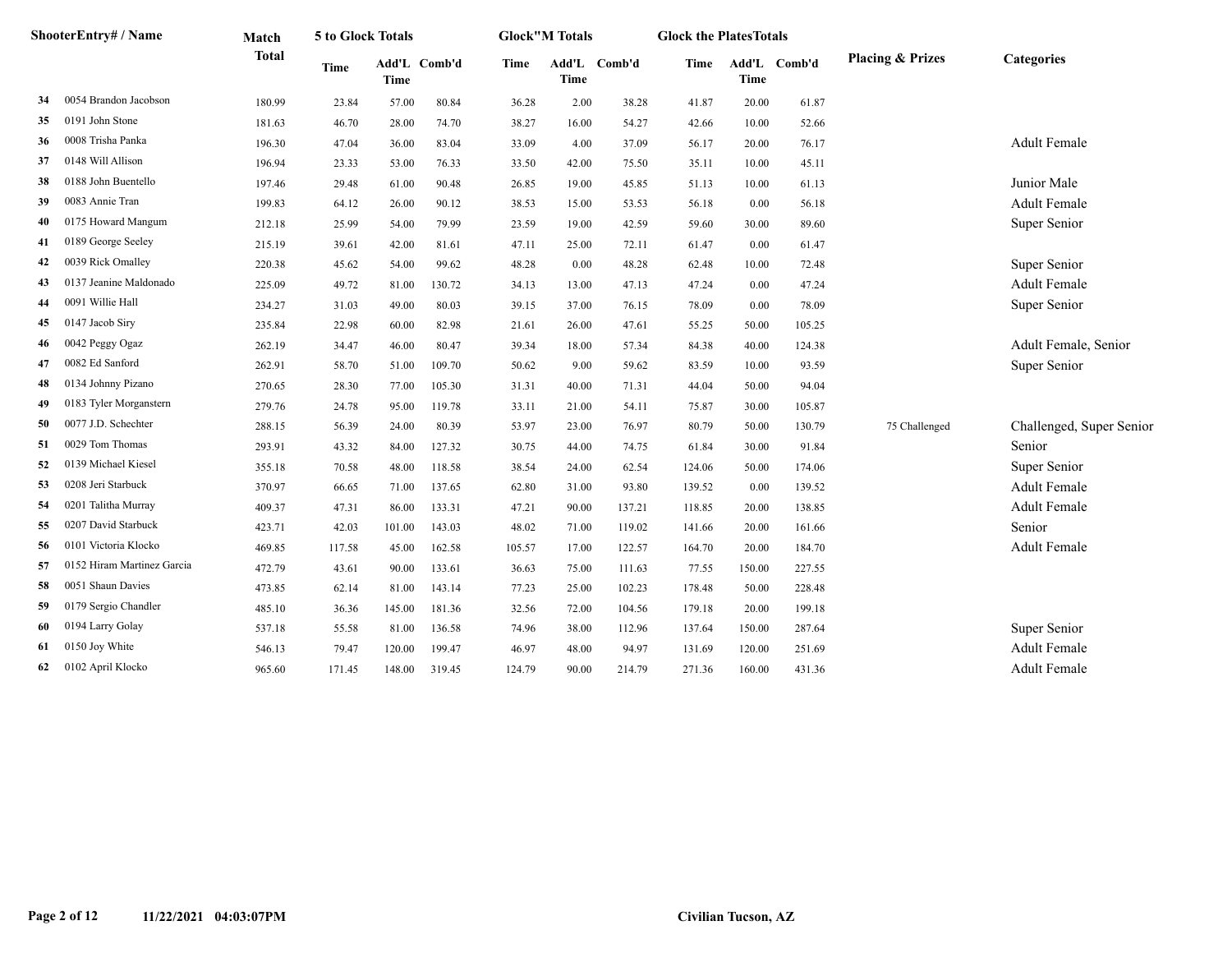|    | ShooterEntry# / Name       | Match        | 5 to Glock Totals |        |              |             | <b>Glock"M Totals</b> |              | <b>Glock the PlatesTotals</b> |             |              |                             |                          |
|----|----------------------------|--------------|-------------------|--------|--------------|-------------|-----------------------|--------------|-------------------------------|-------------|--------------|-----------------------------|--------------------------|
|    |                            | <b>Total</b> | <b>Time</b>       | Time   | Add'L Comb'd | <b>Time</b> | Time                  | Add'L Comb'd | Time                          | <b>Time</b> | Add'L Comb'd | <b>Placing &amp; Prizes</b> | Categories               |
| 34 | 0054 Brandon Jacobson      | 180.99       | 23.84             | 57.00  | 80.84        | 36.28       | 2.00                  | 38.28        | 41.87                         | 20.00       | 61.87        |                             |                          |
| 35 | 0191 John Stone            | 181.63       | 46.70             | 28.00  | 74.70        | 38.27       | 16.00                 | 54.27        | 42.66                         | 10.00       | 52.66        |                             |                          |
| 36 | 0008 Trisha Panka          | 196.30       | 47.04             | 36.00  | 83.04        | 33.09       | 4.00                  | 37.09        | 56.17                         | 20.00       | 76.17        |                             | <b>Adult Female</b>      |
| 37 | 0148 Will Allison          | 196.94       | 23.33             | 53.00  | 76.33        | 33.50       | 42.00                 | 75.50        | 35.11                         | 10.00       | 45.11        |                             |                          |
| 38 | 0188 John Buentello        | 197.46       | 29.48             | 61.00  | 90.48        | 26.85       | 19.00                 | 45.85        | 51.13                         | 10.00       | 61.13        |                             | Junior Male              |
| 39 | 0083 Annie Tran            | 199.83       | 64.12             | 26.00  | 90.12        | 38.53       | 15.00                 | 53.53        | 56.18                         | 0.00        | 56.18        |                             | <b>Adult Female</b>      |
| 40 | 0175 Howard Mangum         | 212.18       | 25.99             | 54.00  | 79.99        | 23.59       | 19.00                 | 42.59        | 59.60                         | 30.00       | 89.60        |                             | Super Senior             |
| 41 | 0189 George Seeley         | 215.19       | 39.61             | 42.00  | 81.61        | 47.11       | 25.00                 | 72.11        | 61.47                         | 0.00        | 61.47        |                             |                          |
| 42 | 0039 Rick Omalley          | 220.38       | 45.62             | 54.00  | 99.62        | 48.28       | 0.00                  | 48.28        | 62.48                         | 10.00       | 72.48        |                             | Super Senior             |
| 43 | 0137 Jeanine Maldonado     | 225.09       | 49.72             | 81.00  | 130.72       | 34.13       | 13.00                 | 47.13        | 47.24                         | 0.00        | 47.24        |                             | <b>Adult Female</b>      |
| 44 | 0091 Willie Hall           | 234.27       | 31.03             | 49.00  | 80.03        | 39.15       | 37.00                 | 76.15        | 78.09                         | 0.00        | 78.09        |                             | Super Senior             |
| 45 | 0147 Jacob Siry            | 235.84       | 22.98             | 60.00  | 82.98        | 21.61       | 26.00                 | 47.61        | 55.25                         | 50.00       | 105.25       |                             |                          |
| 46 | 0042 Peggy Ogaz            | 262.19       | 34.47             | 46.00  | 80.47        | 39.34       | 18.00                 | 57.34        | 84.38                         | 40.00       | 124.38       |                             | Adult Female, Senior     |
| 47 | 0082 Ed Sanford            | 262.91       | 58.70             | 51.00  | 109.70       | 50.62       | 9.00                  | 59.62        | 83.59                         | 10.00       | 93.59        |                             | Super Senior             |
| 48 | 0134 Johnny Pizano         | 270.65       | 28.30             | 77.00  | 105.30       | 31.31       | 40.00                 | 71.31        | 44.04                         | 50.00       | 94.04        |                             |                          |
| 49 | 0183 Tyler Morganstern     | 279.76       | 24.78             | 95.00  | 119.78       | 33.11       | 21.00                 | 54.11        | 75.87                         | 30.00       | 105.87       |                             |                          |
| 50 | 0077 J.D. Schechter        | 288.15       | 56.39             | 24.00  | 80.39        | 53.97       | 23.00                 | 76.97        | 80.79                         | 50.00       | 130.79       | 75 Challenged               | Challenged, Super Senior |
| 51 | 0029 Tom Thomas            | 293.91       | 43.32             | 84.00  | 127.32       | 30.75       | 44.00                 | 74.75        | 61.84                         | 30.00       | 91.84        |                             | Senior                   |
| 52 | 0139 Michael Kiesel        | 355.18       | 70.58             | 48.00  | 118.58       | 38.54       | 24.00                 | 62.54        | 124.06                        | 50.00       | 174.06       |                             | Super Senior             |
| 53 | 0208 Jeri Starbuck         | 370.97       | 66.65             | 71.00  | 137.65       | 62.80       | 31.00                 | 93.80        | 139.52                        | 0.00        | 139.52       |                             | Adult Female             |
| 54 | 0201 Talitha Murray        | 409.37       | 47.31             | 86.00  | 133.31       | 47.21       | 90.00                 | 137.21       | 118.85                        | 20.00       | 138.85       |                             | <b>Adult Female</b>      |
| 55 | 0207 David Starbuck        | 423.71       | 42.03             | 101.00 | 143.03       | 48.02       | 71.00                 | 119.02       | 141.66                        | 20.00       | 161.66       |                             | Senior                   |
| 56 | 0101 Victoria Klocko       | 469.85       | 117.58            | 45.00  | 162.58       | 105.57      | 17.00                 | 122.57       | 164.70                        | 20.00       | 184.70       |                             | <b>Adult Female</b>      |
| 57 | 0152 Hiram Martinez Garcia | 472.79       | 43.61             | 90.00  | 133.61       | 36.63       | 75.00                 | 111.63       | 77.55                         | 150.00      | 227.55       |                             |                          |
| 58 | 0051 Shaun Davies          | 473.85       | 62.14             | 81.00  | 143.14       | 77.23       | 25.00                 | 102.23       | 178.48                        | 50.00       | 228.48       |                             |                          |
| 59 | 0179 Sergio Chandler       | 485.10       | 36.36             | 145.00 | 181.36       | 32.56       | 72.00                 | 104.56       | 179.18                        | 20.00       | 199.18       |                             |                          |
| 60 | 0194 Larry Golay           | 537.18       | 55.58             | 81.00  | 136.58       | 74.96       | 38.00                 | 112.96       | 137.64                        | 150.00      | 287.64       |                             | Super Senior             |
| 61 | 0150 Joy White             | 546.13       | 79.47             | 120.00 | 199.47       | 46.97       | 48.00                 | 94.97        | 131.69                        | 120.00      | 251.69       |                             | <b>Adult Female</b>      |
| 62 | 0102 April Klocko          | 965.60       | 171.45            | 148.00 | 319.45       | 124.79      | 90.00                 | 214.79       | 271.36                        | 160.00      | 431.36       |                             | <b>Adult Female</b>      |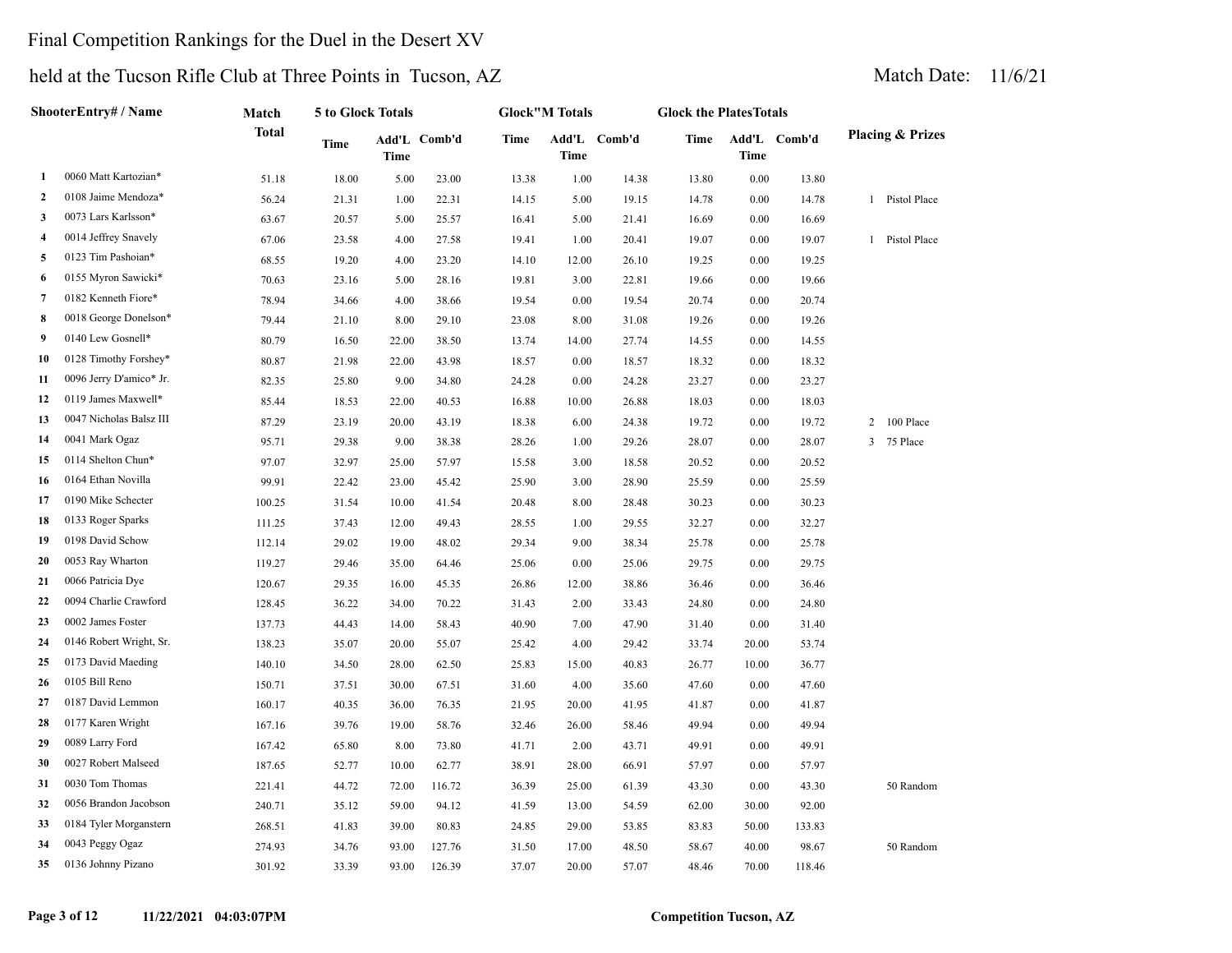### Final Competition Rankings for the Duel in the Desert XV

|              | ShooterEntry# / Name    | Match        | 5 to Glock Totals |             |              |       | <b>Glock"M Totals</b> |              | <b>Glock the PlatesTotals</b> |          |              |                             |
|--------------|-------------------------|--------------|-------------------|-------------|--------------|-------|-----------------------|--------------|-------------------------------|----------|--------------|-----------------------------|
|              |                         | <b>Total</b> | Time              | <b>Time</b> | Add'L Comb'd | Time  | Time                  | Add'L Comb'd | Time                          | Time     | Add'L Comb'd | <b>Placing &amp; Prizes</b> |
| 1            | 0060 Matt Kartozian*    | 51.18        | 18.00             | 5.00        | 23.00        | 13.38 | 1.00                  | 14.38        | 13.80                         | $0.00\,$ | 13.80        |                             |
| $\mathbf{2}$ | 0108 Jaime Mendoza*     | 56.24        | 21.31             | 1.00        | 22.31        | 14.15 | 5.00                  | 19.15        | 14.78                         | 0.00     | 14.78        | 1 Pistol Place              |
| 3            | 0073 Lars Karlsson*     | 63.67        | 20.57             | 5.00        | 25.57        | 16.41 | 5.00                  | 21.41        | 16.69                         | 0.00     | 16.69        |                             |
| 4            | 0014 Jeffrey Snavely    | 67.06        | 23.58             | 4.00        | 27.58        | 19.41 | 1.00                  | 20.41        | 19.07                         | 0.00     | 19.07        | 1 Pistol Place              |
| 5            | 0123 Tim Pashoian*      | 68.55        | 19.20             | 4.00        | 23.20        | 14.10 | 12.00                 | 26.10        | 19.25                         | 0.00     | 19.25        |                             |
| 6            | 0155 Myron Sawicki*     | 70.63        | 23.16             | 5.00        | 28.16        | 19.81 | 3.00                  | 22.81        | 19.66                         | $0.00\,$ | 19.66        |                             |
| 7            | 0182 Kenneth Fiore*     | 78.94        | 34.66             | 4.00        | 38.66        | 19.54 | 0.00                  | 19.54        | 20.74                         | 0.00     | 20.74        |                             |
| 8            | 0018 George Donelson*   | 79.44        | 21.10             | 8.00        | 29.10        | 23.08 | 8.00                  | 31.08        | 19.26                         | 0.00     | 19.26        |                             |
| 9            | 0140 Lew Gosnell*       | 80.79        | 16.50             | 22.00       | 38.50        | 13.74 | 14.00                 | 27.74        | 14.55                         | 0.00     | 14.55        |                             |
| 10           | 0128 Timothy Forshey*   | 80.87        | 21.98             | 22.00       | 43.98        | 18.57 | 0.00                  | 18.57        | 18.32                         | 0.00     | 18.32        |                             |
| 11           | 0096 Jerry D'amico* Jr. | 82.35        | 25.80             | 9.00        | 34.80        | 24.28 | 0.00                  | 24.28        | 23.27                         | 0.00     | 23.27        |                             |
| 12           | 0119 James Maxwell*     | 85.44        | 18.53             | 22.00       | 40.53        | 16.88 | 10.00                 | 26.88        | 18.03                         | 0.00     | 18.03        |                             |
| 13           | 0047 Nicholas Balsz III | 87.29        | 23.19             | 20.00       | 43.19        | 18.38 | 6.00                  | 24.38        | 19.72                         | 0.00     | 19.72        | 100 Place<br>2              |
| 14           | 0041 Mark Ogaz          | 95.71        | 29.38             | 9.00        | 38.38        | 28.26 | 1.00                  | 29.26        | 28.07                         | 0.00     | 28.07        | 75 Place<br>$\overline{3}$  |
| 15           | 0114 Shelton Chun*      | 97.07        | 32.97             | 25.00       | 57.97        | 15.58 | 3.00                  | 18.58        | 20.52                         | 0.00     | 20.52        |                             |
| 16           | 0164 Ethan Novilla      | 99.91        | 22.42             | 23.00       | 45.42        | 25.90 | 3.00                  | 28.90        | 25.59                         | 0.00     | 25.59        |                             |
| 17           | 0190 Mike Schecter      | 100.25       | 31.54             | 10.00       | 41.54        | 20.48 | 8.00                  | 28.48        | 30.23                         | 0.00     | 30.23        |                             |
| 18           | 0133 Roger Sparks       | 111.25       | 37.43             | 12.00       | 49.43        | 28.55 | 1.00                  | 29.55        | 32.27                         | 0.00     | 32.27        |                             |
| 19           | 0198 David Schow        | 112.14       | 29.02             | 19.00       | 48.02        | 29.34 | 9.00                  | 38.34        | 25.78                         | 0.00     | 25.78        |                             |
| 20           | 0053 Ray Wharton        | 119.27       | 29.46             | 35.00       | 64.46        | 25.06 | 0.00                  | 25.06        | 29.75                         | 0.00     | 29.75        |                             |
| 21           | 0066 Patricia Dye       | 120.67       | 29.35             | 16.00       | 45.35        | 26.86 | 12.00                 | 38.86        | 36.46                         | 0.00     | 36.46        |                             |
| 22           | 0094 Charlie Crawford   | 128.45       | 36.22             | 34.00       | 70.22        | 31.43 | 2.00                  | 33.43        | 24.80                         | 0.00     | 24.80        |                             |
| 23           | 0002 James Foster       | 137.73       | 44.43             | 14.00       | 58.43        | 40.90 | 7.00                  | 47.90        | 31.40                         | 0.00     | 31.40        |                             |
| 24           | 0146 Robert Wright, Sr. | 138.23       | 35.07             | 20.00       | 55.07        | 25.42 | 4.00                  | 29.42        | 33.74                         | 20.00    | 53.74        |                             |
| 25           | 0173 David Maeding      | 140.10       | 34.50             | 28.00       | 62.50        | 25.83 | 15.00                 | 40.83        | 26.77                         | 10.00    | 36.77        |                             |
| 26           | 0105 Bill Reno          | 150.71       | 37.51             | 30.00       | 67.51        | 31.60 | 4.00                  | 35.60        | 47.60                         | 0.00     | 47.60        |                             |
| 27           | 0187 David Lemmon       | 160.17       | 40.35             | 36.00       | 76.35        | 21.95 | 20.00                 | 41.95        | 41.87                         | 0.00     | 41.87        |                             |
| 28           | 0177 Karen Wright       | 167.16       | 39.76             | 19.00       | 58.76        | 32.46 | 26.00                 | 58.46        | 49.94                         | 0.00     | 49.94        |                             |
| 29           | 0089 Larry Ford         | 167.42       | 65.80             | 8.00        | 73.80        | 41.71 | 2.00                  | 43.71        | 49.91                         | 0.00     | 49.91        |                             |
| 30           | 0027 Robert Malseed     | 187.65       | 52.77             | 10.00       | 62.77        | 38.91 | 28.00                 | 66.91        | 57.97                         | 0.00     | 57.97        |                             |
| 31           | 0030 Tom Thomas         | 221.41       | 44.72             | 72.00       | 116.72       | 36.39 | 25.00                 | 61.39        | 43.30                         | 0.00     | 43.30        | 50 Random                   |
| 32           | 0056 Brandon Jacobson   | 240.71       | 35.12             | 59.00       | 94.12        | 41.59 | 13.00                 | 54.59        | 62.00                         | 30.00    | 92.00        |                             |
| 33           | 0184 Tyler Morganstern  | 268.51       | 41.83             | 39.00       | 80.83        | 24.85 | 29.00                 | 53.85        | 83.83                         | 50.00    | 133.83       |                             |
| 34           | 0043 Peggy Ogaz         | 274.93       | 34.76             | 93.00       | 127.76       | 31.50 | 17.00                 | 48.50        | 58.67                         | 40.00    | 98.67        | 50 Random                   |
| 35           | 0136 Johnny Pizano      | 301.92       | 33.39             | 93.00       | 126.39       | 37.07 | 20.00                 | 57.07        | 48.46                         | 70.00    | 118.46       |                             |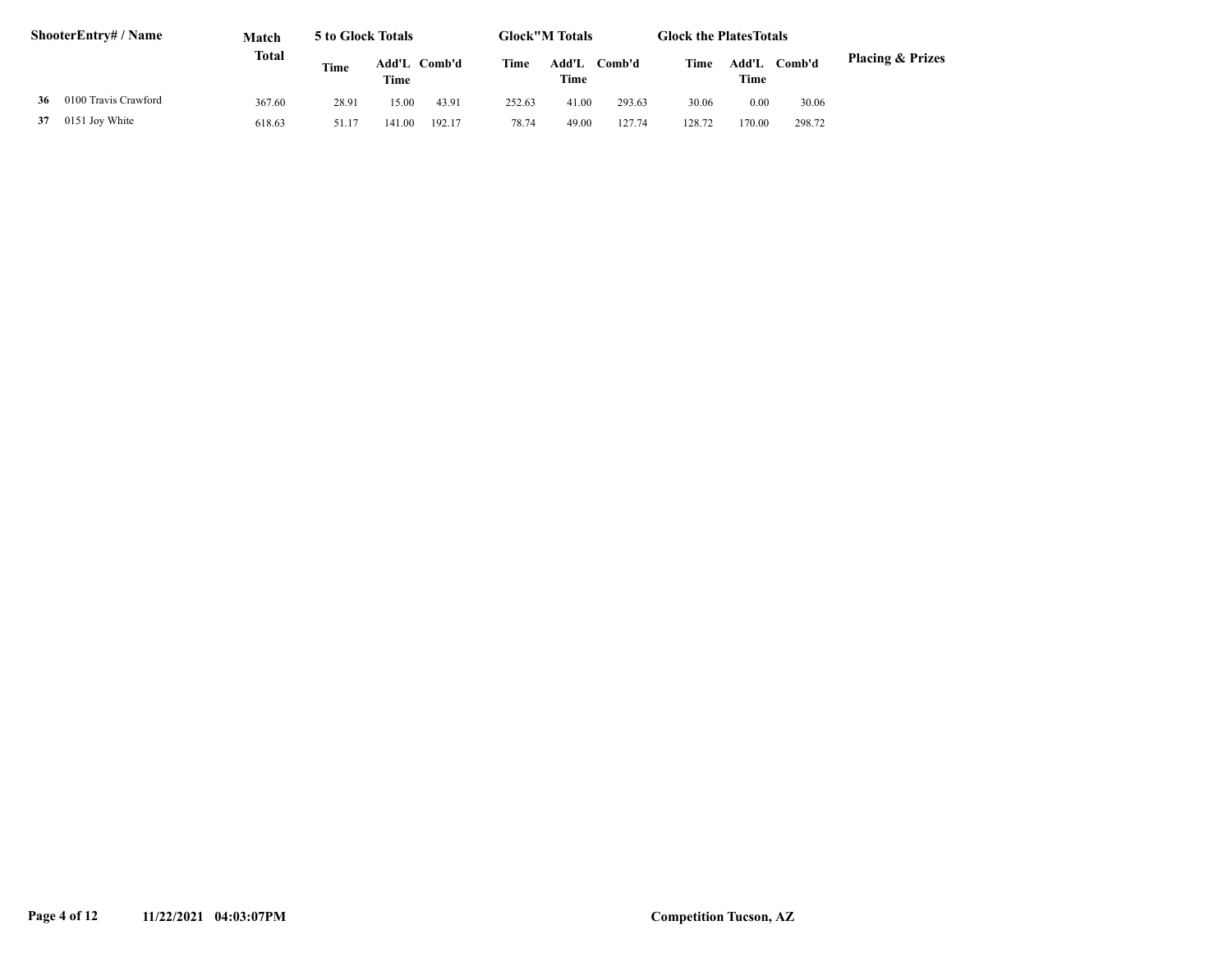| <b>ShooterEntry#/Name</b> |                      | Match        | 5 to Glock Totals |        |              |        | <b>Glock"M Totals</b> |        | <b>Glock the PlatesTotals</b> |               |        |                             |
|---------------------------|----------------------|--------------|-------------------|--------|--------------|--------|-----------------------|--------|-------------------------------|---------------|--------|-----------------------------|
|                           |                      | <b>Total</b> | Time              | Time   | Add'L Comb'd | Time   | Add'L<br>Time         | Comb'd | Time                          | Add'L<br>Time | Comb'd | <b>Placing &amp; Prizes</b> |
| 36                        | 0100 Travis Crawford | 367.60       | 28.91             | 15.00  | 43.91        | 252.63 | 41.00                 | 293.63 | 30.06                         | 0.00          | 30.06  |                             |
| 37                        | 0151 Joy White       | 618.63       | 51.17             | 141.00 | 192.17       | 78.74  | 49.00                 | 127.74 | 128.72                        | 170.00        | 298.72 |                             |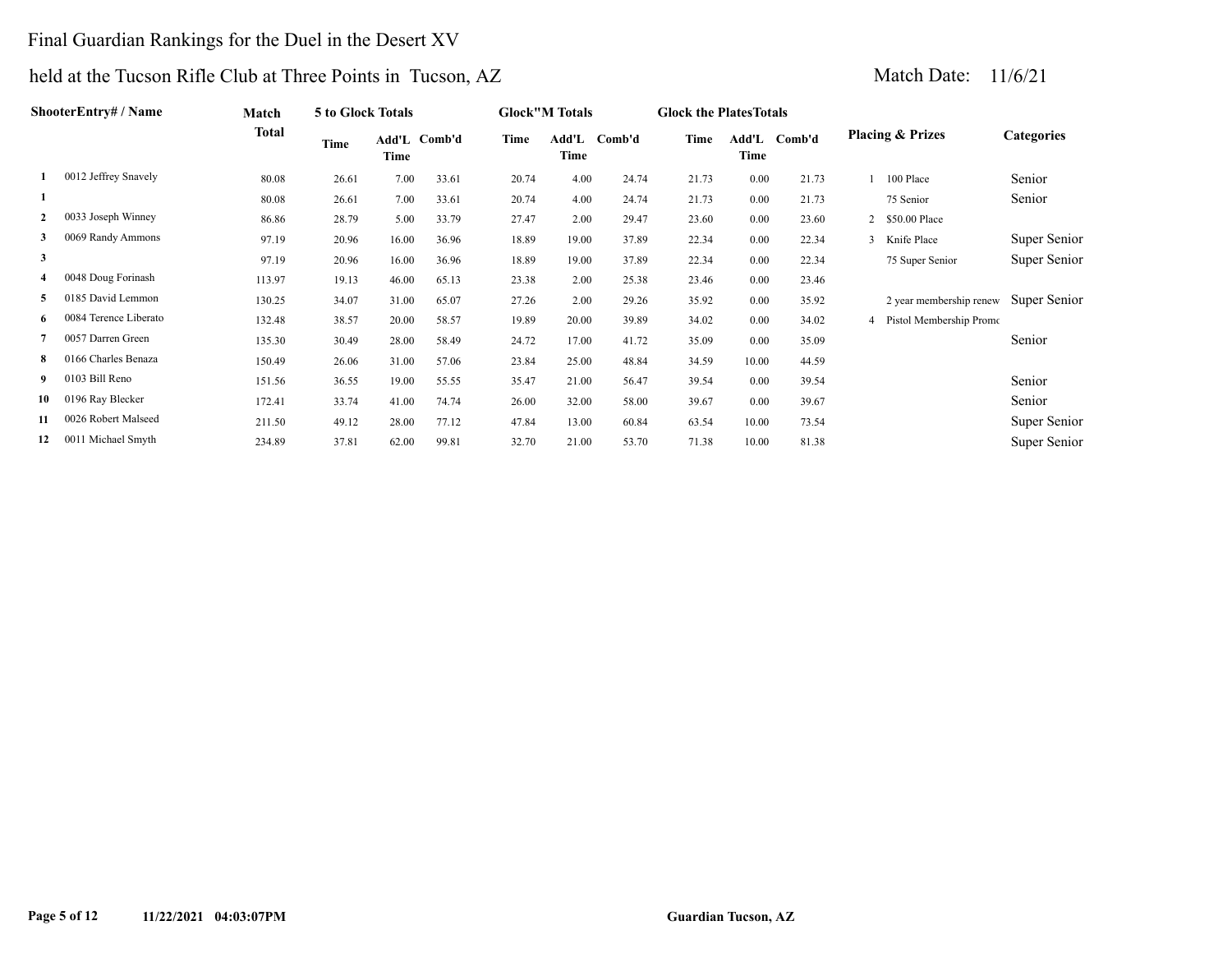### Final Guardian Rankings for the Duel in the Desert XV

| ShooterEntry# / Name |                       | <b>Match</b> | <b>5 to Glock Totals</b> |       |              |       | <b>Glock</b> "M Totals |        | <b>Glock the Plates Totals</b> |       |              |                             |                   |
|----------------------|-----------------------|--------------|--------------------------|-------|--------------|-------|------------------------|--------|--------------------------------|-------|--------------|-----------------------------|-------------------|
|                      |                       | <b>Total</b> | Time                     | Time  | Add'L Comb'd | Time  | Add'L<br>Time          | Comb'd | Time                           | Time  | Add'L Comb'd | <b>Placing &amp; Prizes</b> | <b>Categories</b> |
|                      | 0012 Jeffrey Snavely  | 80.08        | 26.61                    | 7.00  | 33.61        | 20.74 | 4.00                   | 24.74  | 21.73                          | 0.00  | 21.73        | 100 Place                   | Senior            |
|                      |                       | 80.08        | 26.61                    | 7.00  | 33.61        | 20.74 | 4.00                   | 24.74  | 21.73                          | 0.00  | 21.73        | 75 Senior                   | Senior            |
| $\mathbf{2}$         | 0033 Joseph Winney    | 86.86        | 28.79                    | 5.00  | 33.79        | 27.47 | 2.00                   | 29.47  | 23.60                          | 0.00  | 23.60        | 2 \$50.00 Place             |                   |
| 3                    | 0069 Randy Ammons     | 97.19        | 20.96                    | 16.00 | 36.96        | 18.89 | 19.00                  | 37.89  | 22.34                          | 0.00  | 22.34        | 3 Knife Place               | Super Senior      |
| 3                    |                       | 97.19        | 20.96                    | 16.00 | 36.96        | 18.89 | 19.00                  | 37.89  | 22.34                          | 0.00  | 22.34        | 75 Super Senior             | Super Senior      |
| 4                    | 0048 Doug Forinash    | 113.97       | 19.13                    | 46.00 | 65.13        | 23.38 | 2.00                   | 25.38  | 23.46                          | 0.00  | 23.46        |                             |                   |
| 5                    | 0185 David Lemmon     | 130.25       | 34.07                    | 31.00 | 65.07        | 27.26 | 2.00                   | 29.26  | 35.92                          | 0.00  | 35.92        | 2 year membership renew     | Super Senior      |
| 6                    | 0084 Terence Liberato | 132.48       | 38.57                    | 20.00 | 58.57        | 19.89 | 20.00                  | 39.89  | 34.02                          | 0.00  | 34.02        | 4 Pistol Membership Promo   |                   |
|                      | 0057 Darren Green     | 135.30       | 30.49                    | 28.00 | 58.49        | 24.72 | 17.00                  | 41.72  | 35.09                          | 0.00  | 35.09        |                             | Senior            |
| 8                    | 0166 Charles Benaza   | 150.49       | 26.06                    | 31.00 | 57.06        | 23.84 | 25.00                  | 48.84  | 34.59                          | 10.00 | 44.59        |                             |                   |
|                      | 0103 Bill Reno        | 151.56       | 36.55                    | 19.00 | 55.55        | 35.47 | 21.00                  | 56.47  | 39.54                          | 0.00  | 39.54        |                             | Senior            |
| 10                   | 0196 Ray Blecker      | 172.41       | 33.74                    | 41.00 | 74.74        | 26.00 | 32.00                  | 58.00  | 39.67                          | 0.00  | 39.67        |                             | Senior            |
| 11                   | 0026 Robert Malseed   | 211.50       | 49.12                    | 28.00 | 77.12        | 47.84 | 13.00                  | 60.84  | 63.54                          | 10.00 | 73.54        |                             | Super Senior      |
| 12                   | 0011 Michael Smyth    | 234.89       | 37.81                    | 62.00 | 99.81        | 32.70 | 21.00                  | 53.70  | 71.38                          | 10.00 | 81.38        |                             | Super Senior      |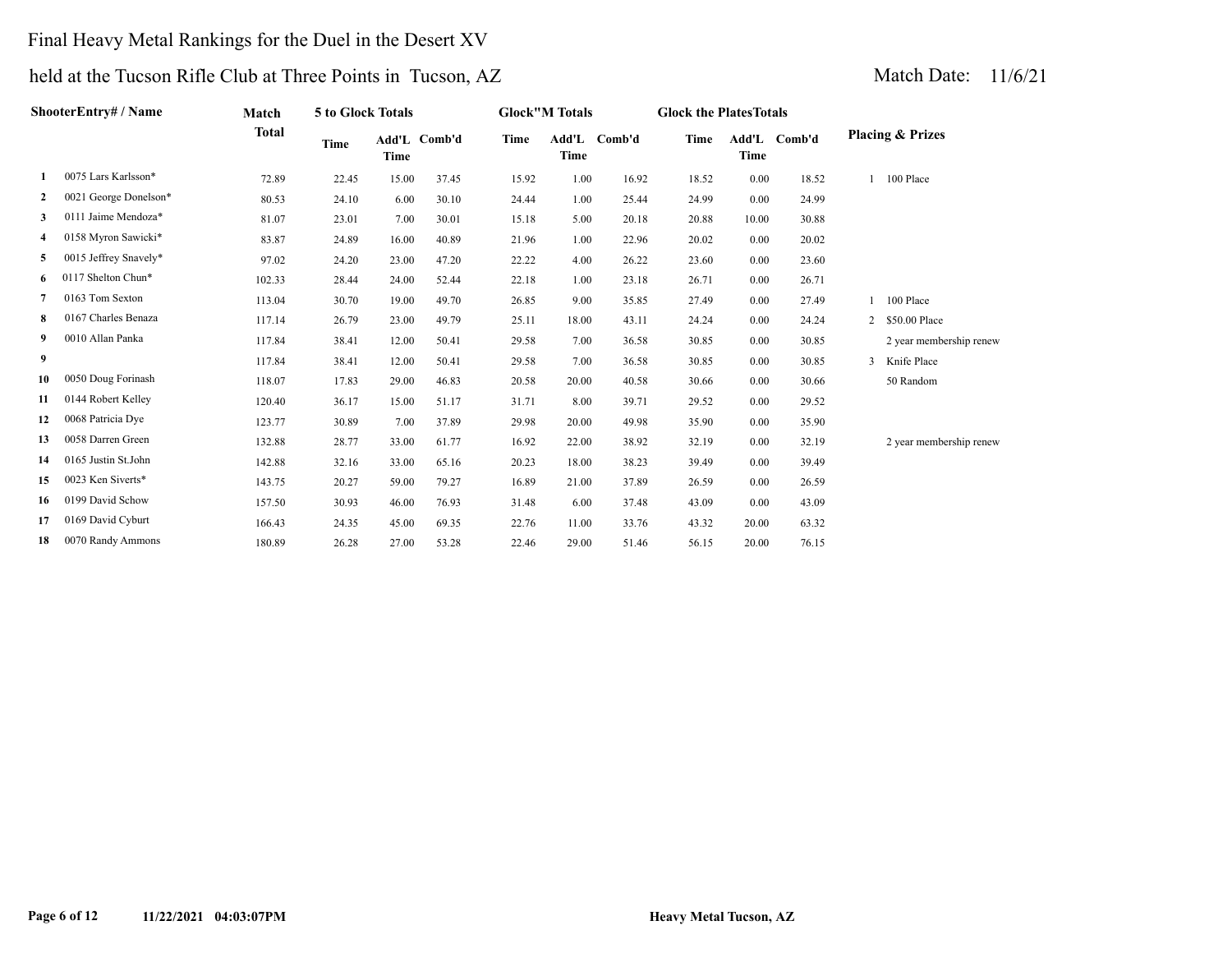### Final Heavy Metal Rankings for the Duel in the Desert XV

|                | ShooterEntry# / Name  | Match        | 5 to Glock Totals |             |              |       | <b>Glock</b> "M Totals |              | <b>Glock the PlatesTotals</b> |       |              |                             |
|----------------|-----------------------|--------------|-------------------|-------------|--------------|-------|------------------------|--------------|-------------------------------|-------|--------------|-----------------------------|
|                |                       | <b>Total</b> | Time              | <b>Time</b> | Add'L Comb'd | Time  | <b>Time</b>            | Add'L Comb'd | Time                          | Time  | Add'L Comb'd | <b>Placing &amp; Prizes</b> |
| -1             | 0075 Lars Karlsson*   | 72.89        | 22.45             | 15.00       | 37.45        | 15.92 | 1.00                   | 16.92        | 18.52                         | 0.00  | 18.52        | 100 Place                   |
| 2              | 0021 George Donelson* | 80.53        | 24.10             | 6.00        | 30.10        | 24.44 | 1.00                   | 25.44        | 24.99                         | 0.00  | 24.99        |                             |
| 3              | 0111 Jaime Mendoza*   | 81.07        | 23.01             | 7.00        | 30.01        | 15.18 | 5.00                   | 20.18        | 20.88                         | 10.00 | 30.88        |                             |
| 4              | 0158 Myron Sawicki*   | 83.87        | 24.89             | 16.00       | 40.89        | 21.96 | 1.00                   | 22.96        | 20.02                         | 0.00  | 20.02        |                             |
| 5              | 0015 Jeffrey Snavely* | 97.02        | 24.20             | 23.00       | 47.20        | 22.22 | 4.00                   | 26.22        | 23.60                         | 0.00  | 23.60        |                             |
| 6              | 0117 Shelton Chun*    | 102.33       | 28.44             | 24.00       | 52.44        | 22.18 | 1.00                   | 23.18        | 26.71                         | 0.00  | 26.71        |                             |
| $\overline{7}$ | 0163 Tom Sexton       | 113.04       | 30.70             | 19.00       | 49.70        | 26.85 | 9.00                   | 35.85        | 27.49                         | 0.00  | 27.49        | 1 100 Place                 |
| 8              | 0167 Charles Benaza   | 117.14       | 26.79             | 23.00       | 49.79        | 25.11 | 18.00                  | 43.11        | 24.24                         | 0.00  | 24.24        | 2 \$50.00 Place             |
| 9              | 0010 Allan Panka      | 117.84       | 38.41             | 12.00       | 50.41        | 29.58 | 7.00                   | 36.58        | 30.85                         | 0.00  | 30.85        | 2 year membership renew     |
| 9              |                       | 117.84       | 38.41             | 12.00       | 50.41        | 29.58 | 7.00                   | 36.58        | 30.85                         | 0.00  | 30.85        | 3 Knife Place               |
| 10             | 0050 Doug Forinash    | 118.07       | 17.83             | 29.00       | 46.83        | 20.58 | 20.00                  | 40.58        | 30.66                         | 0.00  | 30.66        | 50 Random                   |
| 11             | 0144 Robert Kelley    | 120.40       | 36.17             | 15.00       | 51.17        | 31.71 | 8.00                   | 39.71        | 29.52                         | 0.00  | 29.52        |                             |
| 12             | 0068 Patricia Dye     | 123.77       | 30.89             | 7.00        | 37.89        | 29.98 | 20.00                  | 49.98        | 35.90                         | 0.00  | 35.90        |                             |
| 13             | 0058 Darren Green     | 132.88       | 28.77             | 33.00       | 61.77        | 16.92 | 22.00                  | 38.92        | 32.19                         | 0.00  | 32.19        | 2 year membership renew     |
| 14             | 0165 Justin St.John   | 142.88       | 32.16             | 33.00       | 65.16        | 20.23 | 18.00                  | 38.23        | 39.49                         | 0.00  | 39.49        |                             |
| 15             | 0023 Ken Siverts*     | 143.75       | 20.27             | 59.00       | 79.27        | 16.89 | 21.00                  | 37.89        | 26.59                         | 0.00  | 26.59        |                             |
| 16             | 0199 David Schow      | 157.50       | 30.93             | 46.00       | 76.93        | 31.48 | 6.00                   | 37.48        | 43.09                         | 0.00  | 43.09        |                             |
| 17             | 0169 David Cyburt     | 166.43       | 24.35             | 45.00       | 69.35        | 22.76 | 11.00                  | 33.76        | 43.32                         | 20.00 | 63.32        |                             |
| 18             | 0070 Randy Ammons     | 180.89       | 26.28             | 27.00       | 53.28        | 22.46 | 29.00                  | 51.46        | 56.15                         | 20.00 | 76.15        |                             |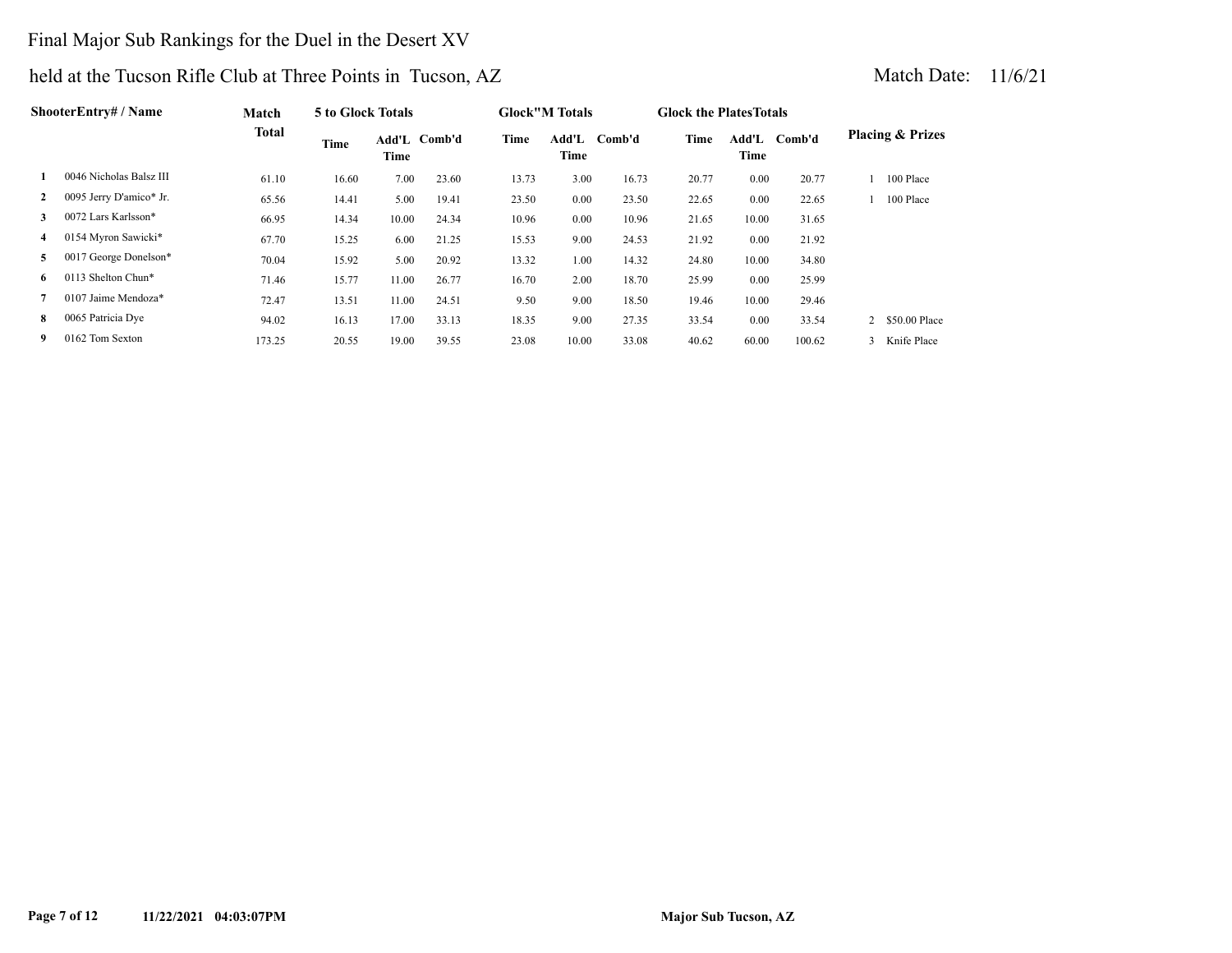### Final Major Sub Rankings for the Duel in the Desert XV

| <b>ShooterEntry# / Name</b> |                         | Match        | 5 to Glock Totals |       |              |       | <b>Glock</b> "M Totals |        | <b>Glock the Plates Totals</b> |       |              |                             |
|-----------------------------|-------------------------|--------------|-------------------|-------|--------------|-------|------------------------|--------|--------------------------------|-------|--------------|-----------------------------|
|                             |                         | <b>Total</b> | Time              | Time  | Add'L Comb'd | Time  | Add'L<br>Time          | Comb'd | Time                           | Time  | Add'L Comb'd | <b>Placing &amp; Prizes</b> |
|                             | 0046 Nicholas Balsz III | 61.10        | 16.60             | 7.00  | 23.60        | 13.73 | 3.00                   | 16.73  | 20.77                          | 0.00  | 20.77        | 100 Place                   |
| $\mathbf{2}$                | 0095 Jerry D'amico* Jr. | 65.56        | 14.41             | 5.00  | 19.41        | 23.50 | 0.00                   | 23.50  | 22.65                          | 0.00  | 22.65        | 100 Place                   |
| 3                           | 0072 Lars Karlsson*     | 66.95        | 14.34             | 10.00 | 24.34        | 10.96 | 0.00                   | 10.96  | 21.65                          | 10.00 | 31.65        |                             |
| 4                           | 0154 Myron Sawicki*     | 67.70        | 15.25             | 6.00  | 21.25        | 15.53 | 9.00                   | 24.53  | 21.92                          | 0.00  | 21.92        |                             |
| 5                           | 0017 George Donelson*   | 70.04        | 15.92             | 5.00  | 20.92        | 13.32 | 1.00                   | 14.32  | 24.80                          | 10.00 | 34.80        |                             |
| 6.                          | 0113 Shelton Chun*      | 71.46        | 15.77             | 11.00 | 26.77        | 16.70 | 2.00                   | 18.70  | 25.99                          | 0.00  | 25.99        |                             |
|                             | $0107$ Jaime Mendoza*   | 72.47        | 13.51             | 11.00 | 24.51        | 9.50  | 9.00                   | 18.50  | 19.46                          | 10.00 | 29.46        |                             |
| 8                           | 0065 Patricia Dye       | 94.02        | 16.13             | 17.00 | 33.13        | 18.35 | 9.00                   | 27.35  | 33.54                          | 0.00  | 33.54        | 2 \$50.00 Place             |
| 9                           | 0162 Tom Sexton         | 173.25       | 20.55             | 19.00 | 39.55        | 23.08 | 10.00                  | 33.08  | 40.62                          | 60.00 | 100.62       | 3 Knife Place               |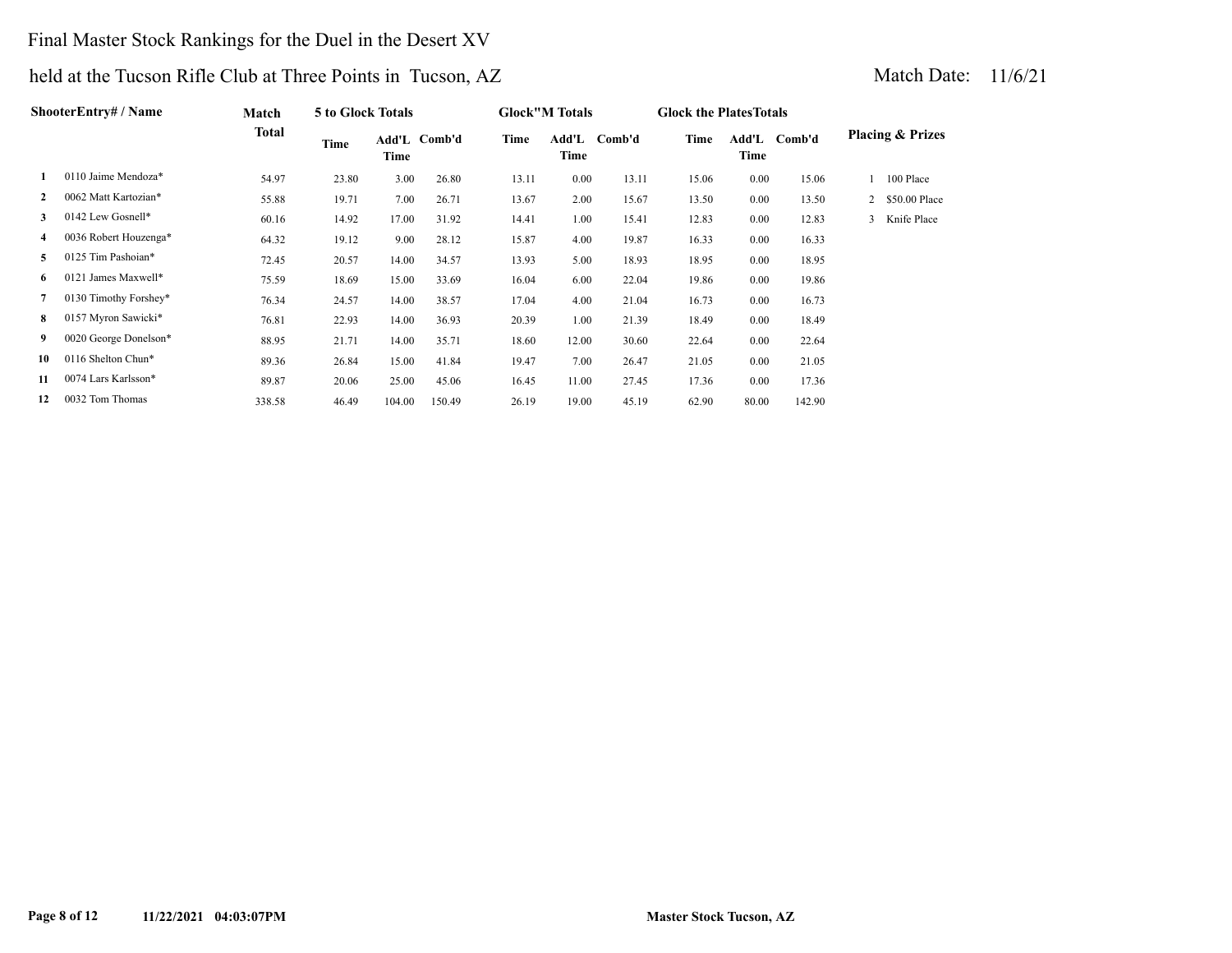### Final Master Stock Rankings for the Duel in the Desert XV

| ShooterEntrv# / Name |                       | Match        | 5 to Glock Totals |        |              |       | <b>Glock</b> "M Totals |        | <b>Glock the Plates Totals</b> |               |        |                             |               |
|----------------------|-----------------------|--------------|-------------------|--------|--------------|-------|------------------------|--------|--------------------------------|---------------|--------|-----------------------------|---------------|
|                      |                       | <b>Total</b> | Time              | Time   | Add'L Comb'd | Time  | Add'L<br>Time          | Comb'd | Time                           | Add'L<br>Time | Comb'd | <b>Placing &amp; Prizes</b> |               |
|                      | 0110 Jaime Mendoza*   | 54.97        | 23.80             | 3.00   | 26.80        | 13.11 | 0.00                   | 13.11  | 15.06                          | 0.00          | 15.06  | 100 Place                   |               |
| $\mathbf{2}$         | 0062 Matt Kartozian*  | 55.88        | 19.71             | 7.00   | 26.71        | 13.67 | 2.00                   | 15.67  | 13.50                          | 0.00          | 13.50  | $\mathbf{2}$                | \$50.00 Place |
| 3                    | 0142 Lew Gosnell*     | 60.16        | 14.92             | 17.00  | 31.92        | 14.41 | 1.00                   | 15.41  | 12.83                          | 0.00          | 12.83  | 3                           | Knife Place   |
| 4                    | 0036 Robert Houzenga* | 64.32        | 19.12             | 9.00   | 28.12        | 15.87 | 4.00                   | 19.87  | 16.33                          | 0.00          | 16.33  |                             |               |
| 5                    | 0125 Tim Pashoian*    | 72.45        | 20.57             | 14.00  | 34.57        | 13.93 | 5.00                   | 18.93  | 18.95                          | 0.00          | 18.95  |                             |               |
| 6                    | 0121 James Maxwell*   | 75.59        | 18.69             | 15.00  | 33.69        | 16.04 | 6.00                   | 22.04  | 19.86                          | 0.00          | 19.86  |                             |               |
| 7                    | 0130 Timothy Forshey* | 76.34        | 24.57             | 14.00  | 38.57        | 17.04 | 4.00                   | 21.04  | 16.73                          | 0.00          | 16.73  |                             |               |
| 8                    | 0157 Myron Sawicki*   | 76.81        | 22.93             | 14.00  | 36.93        | 20.39 | 1.00                   | 21.39  | 18.49                          | 0.00          | 18.49  |                             |               |
| 9.                   | 0020 George Donelson* | 88.95        | 21.71             | 14.00  | 35.71        | 18.60 | 12.00                  | 30.60  | 22.64                          | 0.00          | 22.64  |                             |               |
| 10                   | 0116 Shelton Chun*    | 89.36        | 26.84             | 15.00  | 41.84        | 19.47 | 7.00                   | 26.47  | 21.05                          | 0.00          | 21.05  |                             |               |
| 11                   | 0074 Lars Karlsson*   | 89.87        | 20.06             | 25.00  | 45.06        | 16.45 | 11.00                  | 27.45  | 17.36                          | 0.00          | 17.36  |                             |               |
| 12                   | 0032 Tom Thomas       | 338.58       | 46.49             | 104.00 | 150.49       | 26.19 | 19.00                  | 45.19  | 62.90                          | 80.00         | 142.90 |                             |               |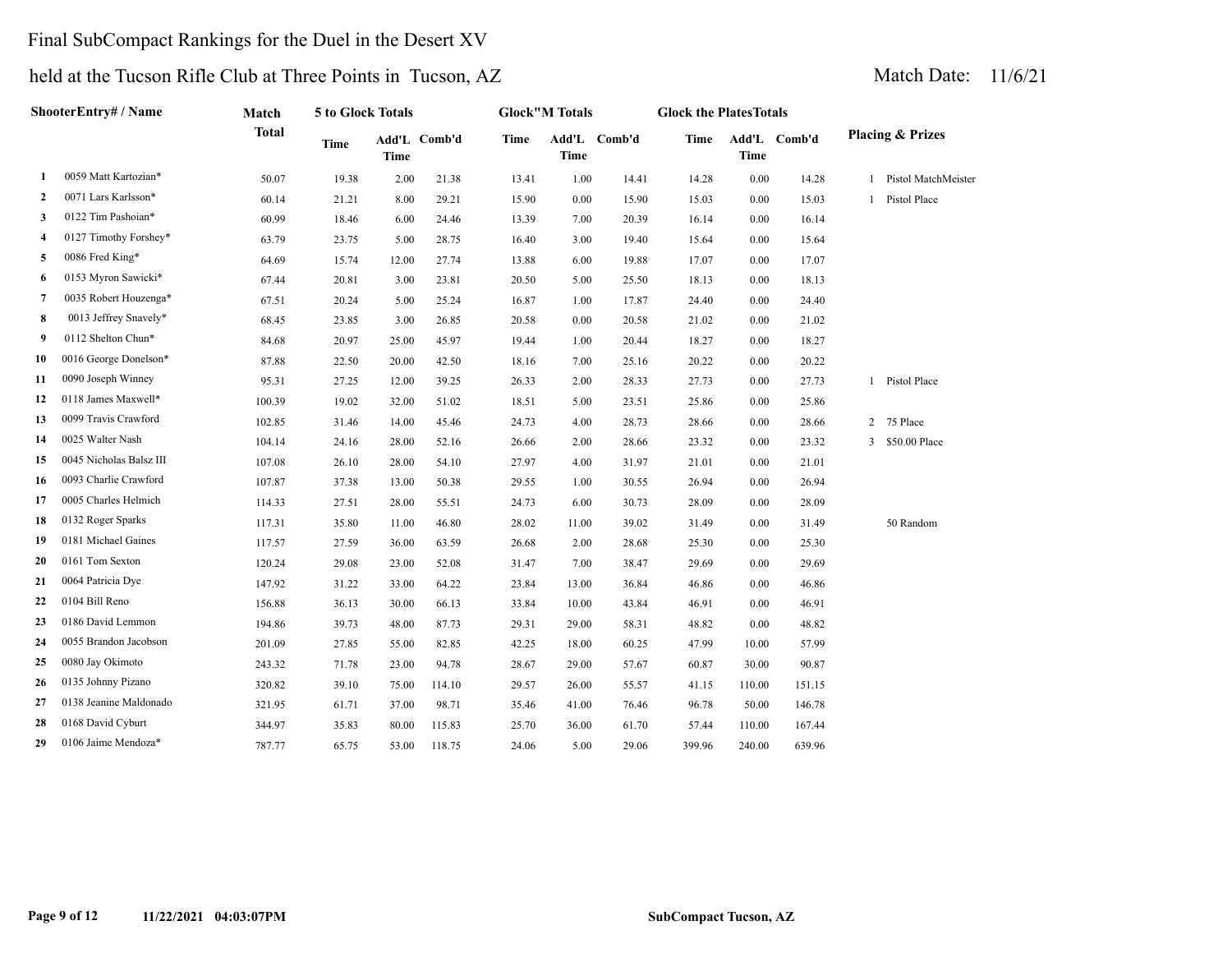### Final SubCompact Rankings for the Duel in the Desert XV

| ShooterEntry# / Name |                         | Match        | 5 to Glock Totals |       |              |             | <b>Glock</b> "M Totals |              | <b>Glock the PlatesTotals</b> |             |              |                |                             |
|----------------------|-------------------------|--------------|-------------------|-------|--------------|-------------|------------------------|--------------|-------------------------------|-------------|--------------|----------------|-----------------------------|
|                      |                         | <b>Total</b> | <b>Time</b>       | Time  | Add'L Comb'd | <b>Time</b> | <b>Time</b>            | Add'L Comb'd | Time                          | <b>Time</b> | Add'L Comb'd |                | <b>Placing &amp; Prizes</b> |
| 1                    | 0059 Matt Kartozian*    | 50.07        | 19.38             | 2.00  | 21.38        | 13.41       | 1.00                   | 14.41        | 14.28                         | 0.00        | 14.28        |                | 1 Pistol MatchMeister       |
| 2                    | 0071 Lars Karlsson*     | 60.14        | 21.21             | 8.00  | 29.21        | 15.90       | 0.00                   | 15.90        | 15.03                         | 0.00        | 15.03        |                | 1 Pistol Place              |
| 3                    | 0122 Tim Pashoian*      | 60.99        | 18.46             | 6.00  | 24.46        | 13.39       | 7.00                   | 20.39        | 16.14                         | 0.00        | 16.14        |                |                             |
| 4                    | 0127 Timothy Forshey*   | 63.79        | 23.75             | 5.00  | 28.75        | 16.40       | 3.00                   | 19.40        | 15.64                         | 0.00        | 15.64        |                |                             |
| 5                    | 0086 Fred King*         | 64.69        | 15.74             | 12.00 | 27.74        | 13.88       | 6.00                   | 19.88        | 17.07                         | 0.00        | 17.07        |                |                             |
| 6                    | 0153 Myron Sawicki*     | 67.44        | 20.81             | 3.00  | 23.81        | 20.50       | 5.00                   | 25.50        | 18.13                         | 0.00        | 18.13        |                |                             |
| 7                    | 0035 Robert Houzenga*   | 67.51        | 20.24             | 5.00  | 25.24        | 16.87       | 1.00                   | 17.87        | 24.40                         | 0.00        | 24.40        |                |                             |
| 8                    | 0013 Jeffrey Snavely*   | 68.45        | 23.85             | 3.00  | 26.85        | 20.58       | 0.00                   | 20.58        | 21.02                         | 0.00        | 21.02        |                |                             |
| 9                    | 0112 Shelton Chun*      | 84.68        | 20.97             | 25.00 | 45.97        | 19.44       | 1.00                   | 20.44        | 18.27                         | 0.00        | 18.27        |                |                             |
| 10                   | 0016 George Donelson*   | 87.88        | 22.50             | 20.00 | 42.50        | 18.16       | 7.00                   | 25.16        | 20.22                         | 0.00        | 20.22        |                |                             |
| 11                   | 0090 Joseph Winney      | 95.31        | 27.25             | 12.00 | 39.25        | 26.33       | 2.00                   | 28.33        | 27.73                         | 0.00        | 27.73        |                | 1 Pistol Place              |
| 12                   | 0118 James Maxwell*     | 100.39       | 19.02             | 32.00 | 51.02        | 18.51       | 5.00                   | 23.51        | 25.86                         | 0.00        | 25.86        |                |                             |
| 13                   | 0099 Travis Crawford    | 102.85       | 31.46             | 14.00 | 45.46        | 24.73       | 4.00                   | 28.73        | 28.66                         | 0.00        | 28.66        | $\overline{2}$ | 75 Place                    |
| 14                   | 0025 Walter Nash        | 104.14       | 24.16             | 28.00 | 52.16        | 26.66       | 2.00                   | 28.66        | 23.32                         | 0.00        | 23.32        |                | 3 \$50.00 Place             |
| 15                   | 0045 Nicholas Balsz III | 107.08       | 26.10             | 28.00 | 54.10        | 27.97       | 4.00                   | 31.97        | 21.01                         | 0.00        | 21.01        |                |                             |
| 16                   | 0093 Charlie Crawford   | 107.87       | 37.38             | 13.00 | 50.38        | 29.55       | 1.00                   | 30.55        | 26.94                         | 0.00        | 26.94        |                |                             |
| 17                   | 0005 Charles Helmich    | 114.33       | 27.51             | 28.00 | 55.51        | 24.73       | 6.00                   | 30.73        | 28.09                         | 0.00        | 28.09        |                |                             |
| 18                   | 0132 Roger Sparks       | 117.31       | 35.80             | 11.00 | 46.80        | 28.02       | 11.00                  | 39.02        | 31.49                         | 0.00        | 31.49        |                | 50 Random                   |
| 19                   | 0181 Michael Gaines     | 117.57       | 27.59             | 36.00 | 63.59        | 26.68       | 2.00                   | 28.68        | 25.30                         | 0.00        | 25.30        |                |                             |
| 20                   | 0161 Tom Sexton         | 120.24       | 29.08             | 23.00 | 52.08        | 31.47       | 7.00                   | 38.47        | 29.69                         | 0.00        | 29.69        |                |                             |
| 21                   | 0064 Patricia Dye       | 147.92       | 31.22             | 33.00 | 64.22        | 23.84       | 13.00                  | 36.84        | 46.86                         | 0.00        | 46.86        |                |                             |
| 22                   | 0104 Bill Reno          | 156.88       | 36.13             | 30.00 | 66.13        | 33.84       | 10.00                  | 43.84        | 46.91                         | 0.00        | 46.91        |                |                             |
| 23                   | 0186 David Lemmon       | 194.86       | 39.73             | 48.00 | 87.73        | 29.31       | 29.00                  | 58.31        | 48.82                         | 0.00        | 48.82        |                |                             |
| 24                   | 0055 Brandon Jacobson   | 201.09       | 27.85             | 55.00 | 82.85        | 42.25       | 18.00                  | 60.25        | 47.99                         | 10.00       | 57.99        |                |                             |
| 25                   | 0080 Jay Okimoto        | 243.32       | 71.78             | 23.00 | 94.78        | 28.67       | 29.00                  | 57.67        | 60.87                         | 30.00       | 90.87        |                |                             |
| 26                   | 0135 Johnny Pizano      | 320.82       | 39.10             | 75.00 | 114.10       | 29.57       | 26.00                  | 55.57        | 41.15                         | 110.00      | 151.15       |                |                             |
| 27                   | 0138 Jeanine Maldonado  | 321.95       | 61.71             | 37.00 | 98.71        | 35.46       | 41.00                  | 76.46        | 96.78                         | 50.00       | 146.78       |                |                             |
| 28                   | 0168 David Cyburt       | 344.97       | 35.83             | 80.00 | 115.83       | 25.70       | 36.00                  | 61.70        | 57.44                         | 110.00      | 167.44       |                |                             |
| 29                   | 0106 Jaime Mendoza*     | 787.77       | 65.75             | 53.00 | 118.75       | 24.06       | 5.00                   | 29.06        | 399.96                        | 240.00      | 639.96       |                |                             |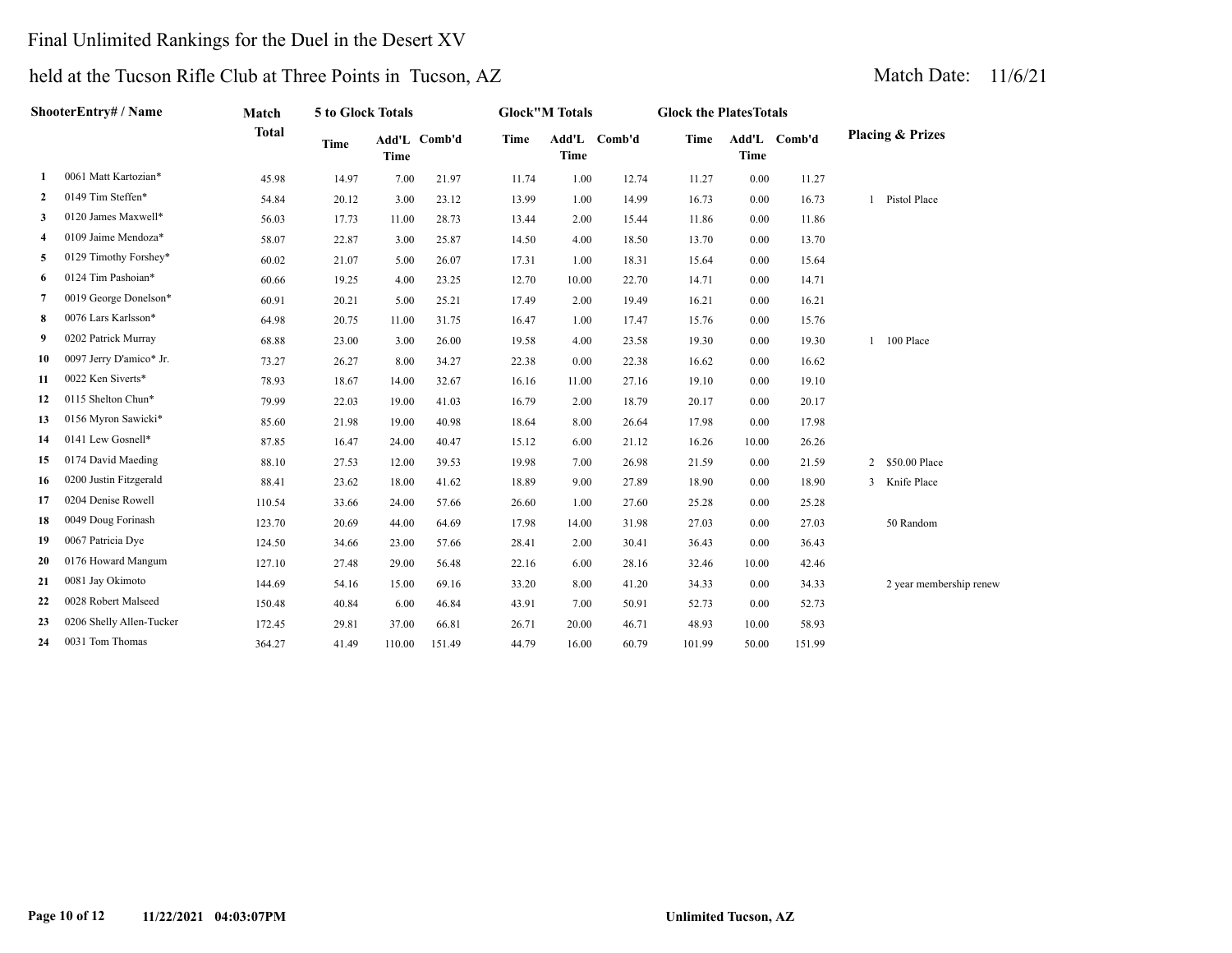### Final Unlimited Rankings for the Duel in the Desert XV

| ShooterEntry# / Name |                          | Match        | 5 to Glock Totals |             |              |             | <b>Glock"M Totals</b> |        | <b>Glock the PlatesTotals</b> |       |              |                             |
|----------------------|--------------------------|--------------|-------------------|-------------|--------------|-------------|-----------------------|--------|-------------------------------|-------|--------------|-----------------------------|
|                      |                          | <b>Total</b> | <b>Time</b>       | <b>Time</b> | Add'L Comb'd | <b>Time</b> | Add'L<br><b>Time</b>  | Comb'd | Time                          | Time  | Add'L Comb'd | <b>Placing &amp; Prizes</b> |
| 1                    | 0061 Matt Kartozian*     | 45.98        | 14.97             | 7.00        | 21.97        | 11.74       | 1.00                  | 12.74  | 11.27                         | 0.00  | 11.27        |                             |
| $\mathbf{2}$         | 0149 Tim Steffen*        | 54.84        | 20.12             | 3.00        | 23.12        | 13.99       | 1.00                  | 14.99  | 16.73                         | 0.00  | 16.73        | 1 Pistol Place              |
| 3                    | 0120 James Maxwell*      | 56.03        | 17.73             | 11.00       | 28.73        | 13.44       | 2.00                  | 15.44  | 11.86                         | 0.00  | 11.86        |                             |
| 4                    | 0109 Jaime Mendoza*      | 58.07        | 22.87             | 3.00        | 25.87        | 14.50       | 4.00                  | 18.50  | 13.70                         | 0.00  | 13.70        |                             |
| 5                    | 0129 Timothy Forshey*    | 60.02        | 21.07             | 5.00        | 26.07        | 17.31       | 1.00                  | 18.31  | 15.64                         | 0.00  | 15.64        |                             |
| -6                   | 0124 Tim Pashoian*       | 60.66        | 19.25             | 4.00        | 23.25        | 12.70       | 10.00                 | 22.70  | 14.71                         | 0.00  | 14.71        |                             |
| 7                    | 0019 George Donelson*    | 60.91        | 20.21             | 5.00        | 25.21        | 17.49       | 2.00                  | 19.49  | 16.21                         | 0.00  | 16.21        |                             |
| 8                    | 0076 Lars Karlsson*      | 64.98        | 20.75             | 11.00       | 31.75        | 16.47       | 1.00                  | 17.47  | 15.76                         | 0.00  | 15.76        |                             |
| 9                    | 0202 Patrick Murray      | 68.88        | 23.00             | 3.00        | 26.00        | 19.58       | 4.00                  | 23.58  | 19.30                         | 0.00  | 19.30        | 100 Place                   |
| 10                   | 0097 Jerry D'amico* Jr.  | 73.27        | 26.27             | 8.00        | 34.27        | 22.38       | 0.00                  | 22.38  | 16.62                         | 0.00  | 16.62        |                             |
| 11                   | 0022 Ken Siverts*        | 78.93        | 18.67             | 14.00       | 32.67        | 16.16       | 11.00                 | 27.16  | 19.10                         | 0.00  | 19.10        |                             |
| 12                   | 0115 Shelton Chun*       | 79.99        | 22.03             | 19.00       | 41.03        | 16.79       | 2.00                  | 18.79  | 20.17                         | 0.00  | 20.17        |                             |
| 13                   | 0156 Myron Sawicki*      | 85.60        | 21.98             | 19.00       | 40.98        | 18.64       | 8.00                  | 26.64  | 17.98                         | 0.00  | 17.98        |                             |
| 14                   | 0141 Lew Gosnell*        | 87.85        | 16.47             | 24.00       | 40.47        | 15.12       | 6.00                  | 21.12  | 16.26                         | 10.00 | 26.26        |                             |
| 15                   | 0174 David Maeding       | 88.10        | 27.53             | 12.00       | 39.53        | 19.98       | 7.00                  | 26.98  | 21.59                         | 0.00  | 21.59        | 2 \$50.00 Place             |
| 16                   | 0200 Justin Fitzgerald   | 88.41        | 23.62             | 18.00       | 41.62        | 18.89       | 9.00                  | 27.89  | 18.90                         | 0.00  | 18.90        | 3 Knife Place               |
| 17                   | 0204 Denise Rowell       | 110.54       | 33.66             | 24.00       | 57.66        | 26.60       | 1.00                  | 27.60  | 25.28                         | 0.00  | 25.28        |                             |
| 18                   | 0049 Doug Forinash       | 123.70       | 20.69             | 44.00       | 64.69        | 17.98       | 14.00                 | 31.98  | 27.03                         | 0.00  | 27.03        | 50 Random                   |
| 19                   | 0067 Patricia Dye        | 124.50       | 34.66             | 23.00       | 57.66        | 28.41       | 2.00                  | 30.41  | 36.43                         | 0.00  | 36.43        |                             |
| 20                   | 0176 Howard Mangum       | 127.10       | 27.48             | 29.00       | 56.48        | 22.16       | 6.00                  | 28.16  | 32.46                         | 10.00 | 42.46        |                             |
| 21                   | 0081 Jay Okimoto         | 144.69       | 54.16             | 15.00       | 69.16        | 33.20       | 8.00                  | 41.20  | 34.33                         | 0.00  | 34.33        | 2 year membership renew     |
| 22                   | 0028 Robert Malseed      | 150.48       | 40.84             | 6.00        | 46.84        | 43.91       | 7.00                  | 50.91  | 52.73                         | 0.00  | 52.73        |                             |
| 23                   | 0206 Shelly Allen-Tucker | 172.45       | 29.81             | 37.00       | 66.81        | 26.71       | 20.00                 | 46.71  | 48.93                         | 10.00 | 58.93        |                             |
| 24                   | 0031 Tom Thomas          | 364.27       | 41.49             | 110.00      | 151.49       | 44.79       | 16.00                 | 60.79  | 101.99                        | 50.00 | 151.99       |                             |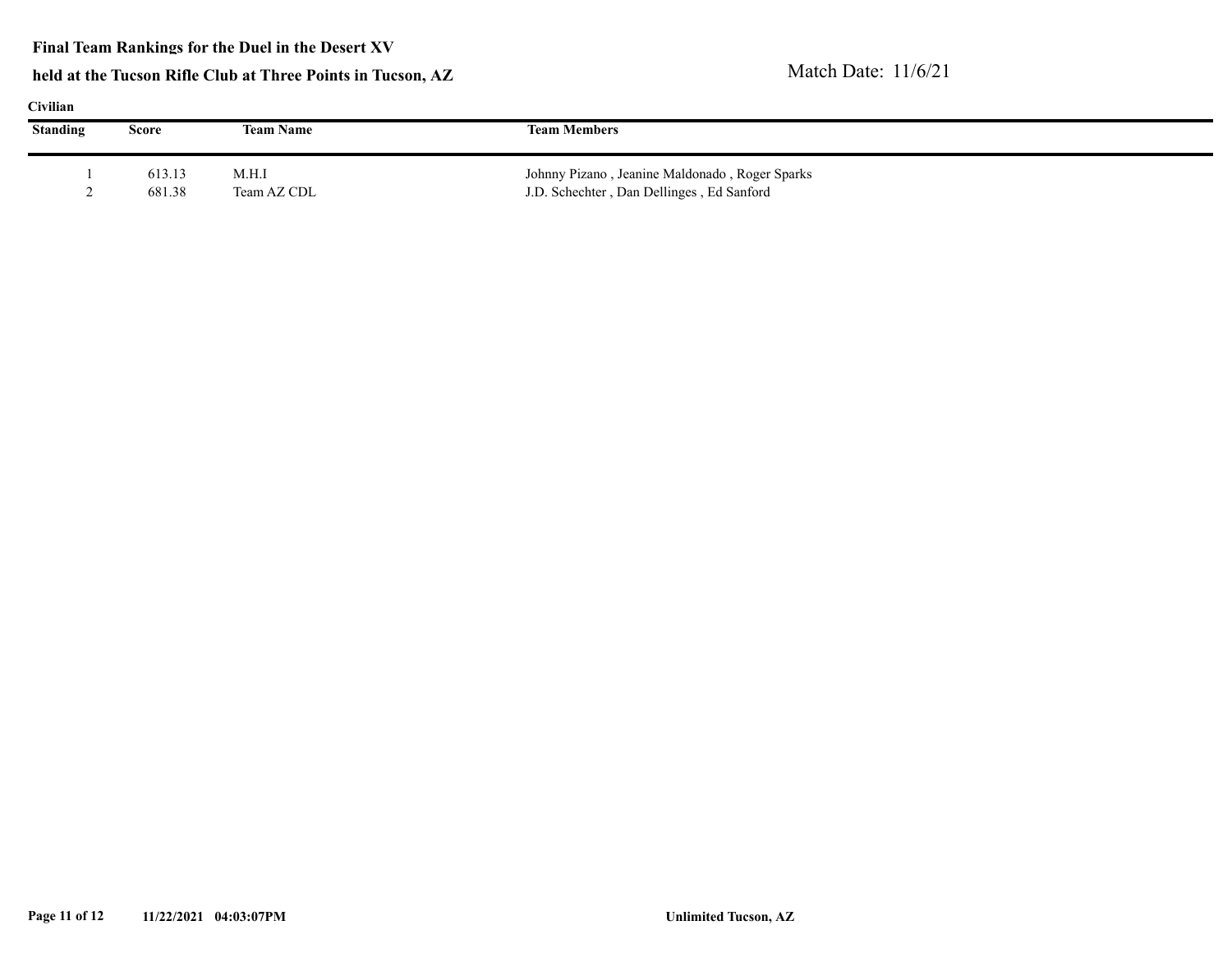#### **Final Team Rankings for the Duel in the Desert XV**

|  | 111 A N |  |
|--|---------|--|
|  |         |  |

| <b>Standing</b> | Score            | <b>Team Name</b>     | <b>Team Members</b>                                                                         |  |
|-----------------|------------------|----------------------|---------------------------------------------------------------------------------------------|--|
|                 | 613.13<br>681.38 | M.H.I<br>Team AZ CDL | Johnny Pizano, Jeanine Maldonado, Roger Sparks<br>J.D. Schechter, Dan Dellinges, Ed Sanford |  |